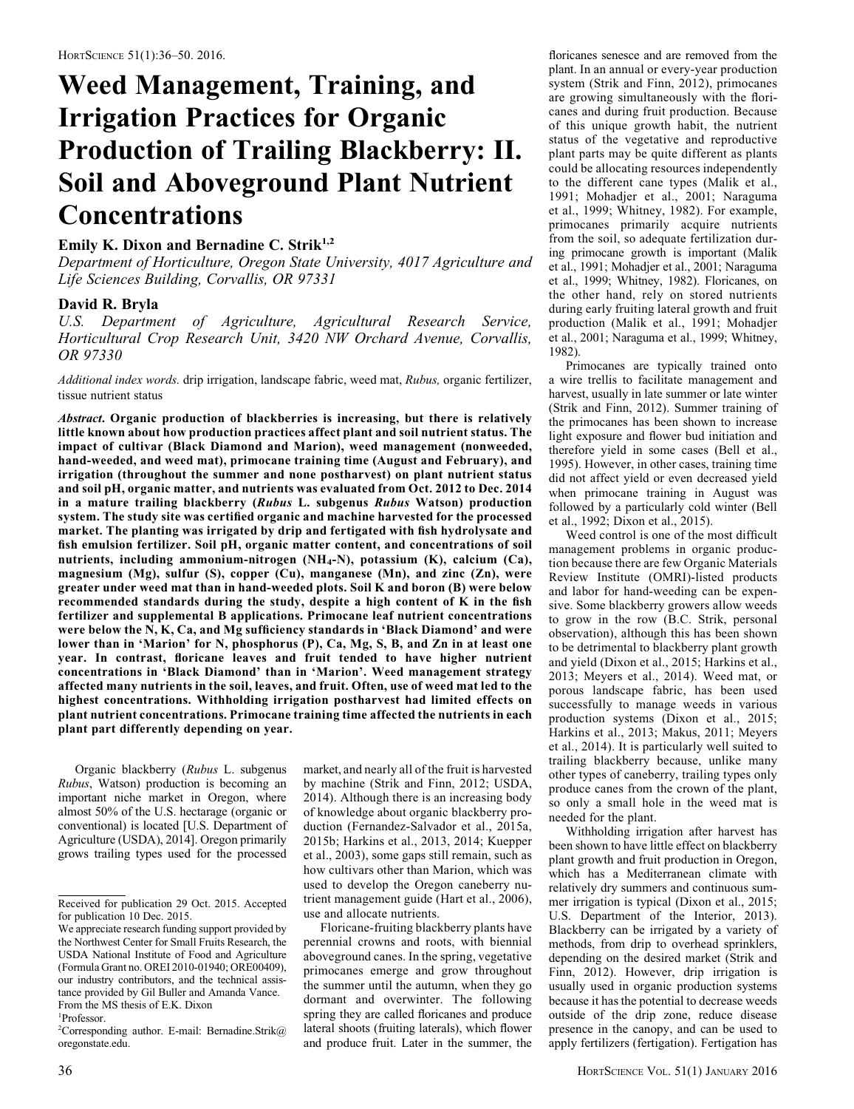# Weed Management, Training, and Irrigation Practices for Organic Production of Trailing Blackberry: II. Soil and Aboveground Plant Nutrient **Concentrations**

## Emily K. Dixon and Bernadine C. Strik<sup>1,2</sup>

Department of Horticulture, Oregon State University, 4017 Agriculture and Life Sciences Building, Corvallis, OR 97331

### David R. Bryla

U.S. Department of Agriculture, Agricultural Research Service, Horticultural Crop Research Unit, 3420 NW Orchard Avenue, Corvallis, OR 97330

Additional index words. drip irrigation, landscape fabric, weed mat, Rubus, organic fertilizer, tissue nutrient status

Abstract. Organic production of blackberries is increasing, but there is relatively little known about how production practices affect plant and soil nutrient status. The impact of cultivar (Black Diamond and Marion), weed management (nonweeded, hand-weeded, and weed mat), primocane training time (August and February), and irrigation (throughout the summer and none postharvest) on plant nutrient status and soil pH, organic matter, and nutrients was evaluated from Oct. 2012 to Dec. 2014 in a mature trailing blackberry (Rubus L. subgenus Rubus Watson) production system. The study site was certified organic and machine harvested for the processed market. The planting was irrigated by drip and fertigated with fish hydrolysate and fish emulsion fertilizer. Soil pH, organic matter content, and concentrations of soil nutrients, including ammonium-nitrogen (NH4-N), potassium (K), calcium (Ca), magnesium (Mg), sulfur (S), copper (Cu), manganese (Mn), and zinc (Zn), were greater under weed mat than in hand-weeded plots. Soil K and boron (B) were below recommended standards during the study, despite a high content of K in the fish fertilizer and supplemental B applications. Primocane leaf nutrient concentrations were below the N, K, Ca, and Mg sufficiency standards in 'Black Diamond' and were lower than in 'Marion' for N, phosphorus (P), Ca, Mg, S, B, and Zn in at least one year. In contrast, floricane leaves and fruit tended to have higher nutrient concentrations in 'Black Diamond' than in 'Marion'. Weed management strategy affected many nutrients in the soil, leaves, and fruit. Often, use of weed mat led to the highest concentrations. Withholding irrigation postharvest had limited effects on plant nutrient concentrations. Primocane training time affected the nutrients in each plant part differently depending on year.

Organic blackberry (Rubus L. subgenus Rubus, Watson) production is becoming an important niche market in Oregon, where almost 50% of the U.S. hectarage (organic or conventional) is located [U.S. Department of Agriculture (USDA), 2014]. Oregon primarily grows trailing types used for the processed

market, and nearly all of the fruit is harvested by machine (Strik and Finn, 2012; USDA, 2014). Although there is an increasing body of knowledge about organic blackberry production (Fernandez-Salvador et al., 2015a, 2015b; Harkins et al., 2013, 2014; Kuepper et al., 2003), some gaps still remain, such as how cultivars other than Marion, which was used to develop the Oregon caneberry nutrient management guide (Hart et al., 2006), use and allocate nutrients.

Floricane-fruiting blackberry plants have perennial crowns and roots, with biennial aboveground canes. In the spring, vegetative primocanes emerge and grow throughout the summer until the autumn, when they go dormant and overwinter. The following spring they are called floricanes and produce lateral shoots (fruiting laterals), which flower and produce fruit. Later in the summer, the floricanes senesce and are removed from the plant. In an annual or every-year production system (Strik and Finn, 2012), primocanes are growing simultaneously with the floricanes and during fruit production. Because of this unique growth habit, the nutrient status of the vegetative and reproductive plant parts may be quite different as plants could be allocating resources independently to the different cane types (Malik et al., 1991; Mohadjer et al., 2001; Naraguma et al., 1999; Whitney, 1982). For example, primocanes primarily acquire nutrients from the soil, so adequate fertilization during primocane growth is important (Malik et al., 1991; Mohadjer et al., 2001; Naraguma et al., 1999; Whitney, 1982). Floricanes, on the other hand, rely on stored nutrients during early fruiting lateral growth and fruit production (Malik et al., 1991; Mohadjer et al., 2001; Naraguma et al., 1999; Whitney, 1982).

Primocanes are typically trained onto a wire trellis to facilitate management and harvest, usually in late summer or late winter (Strik and Finn, 2012). Summer training of the primocanes has been shown to increase light exposure and flower bud initiation and therefore yield in some cases (Bell et al., 1995). However, in other cases, training time did not affect yield or even decreased yield when primocane training in August was followed by a particularly cold winter (Bell et al., 1992; Dixon et al., 2015).

Weed control is one of the most difficult management problems in organic production because there are few Organic Materials Review Institute (OMRI)-listed products and labor for hand-weeding can be expensive. Some blackberry growers allow weeds to grow in the row (B.C. Strik, personal observation), although this has been shown to be detrimental to blackberry plant growth and yield (Dixon et al., 2015; Harkins et al., 2013; Meyers et al., 2014). Weed mat, or porous landscape fabric, has been used successfully to manage weeds in various production systems (Dixon et al., 2015; Harkins et al., 2013; Makus, 2011; Meyers et al., 2014). It is particularly well suited to trailing blackberry because, unlike many other types of caneberry, trailing types only produce canes from the crown of the plant, so only a small hole in the weed mat is needed for the plant.

Withholding irrigation after harvest has been shown to have little effect on blackberry plant growth and fruit production in Oregon, which has a Mediterranean climate with relatively dry summers and continuous summer irrigation is typical (Dixon et al., 2015; U.S. Department of the Interior, 2013). Blackberry can be irrigated by a variety of methods, from drip to overhead sprinklers, depending on the desired market (Strik and Finn, 2012). However, drip irrigation is usually used in organic production systems because it has the potential to decrease weeds outside of the drip zone, reduce disease presence in the canopy, and can be used to apply fertilizers (fertigation). Fertigation has

Received for publication 29 Oct. 2015. Accepted for publication 10 Dec. 2015.

We appreciate research funding support provided by the Northwest Center for Small Fruits Research, the USDA National Institute of Food and Agriculture (Formula Grant no. OREI 2010-01940; ORE00409), our industry contributors, and the technical assistance provided by Gil Buller and Amanda Vance. From the MS thesis of E.K. Dixon

<sup>1</sup> Professor.

<sup>&</sup>lt;sup>2</sup>Corresponding author. E-mail: Bernadine.Strik@ oregonstate.edu.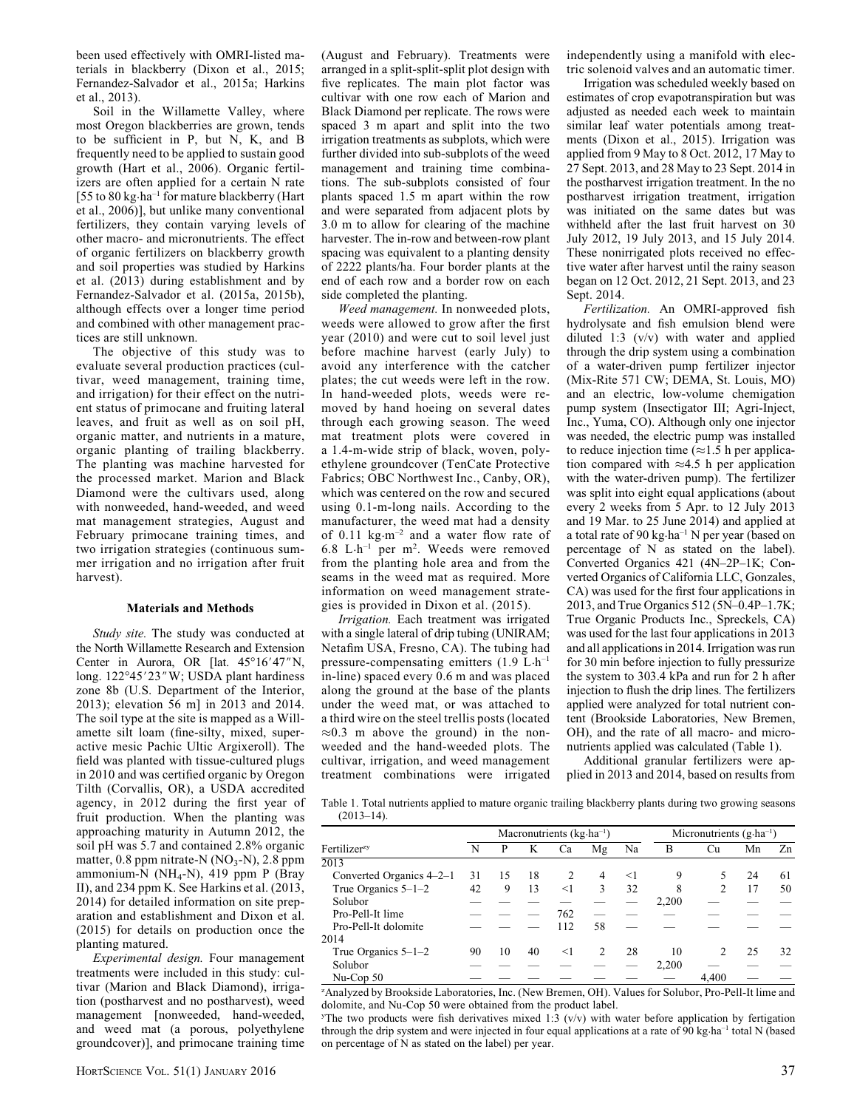been used effectively with OMRI-listed materials in blackberry (Dixon et al., 2015; Fernandez-Salvador et al., 2015a; Harkins et al., 2013).

Soil in the Willamette Valley, where most Oregon blackberries are grown, tends to be sufficient in P, but N, K, and B frequently need to be applied to sustain good growth (Hart et al., 2006). Organic fertilizers are often applied for a certain N rate [55 to 80 kg·ha<sup>-1</sup> for mature blackberry (Hart et al., 2006)], but unlike many conventional fertilizers, they contain varying levels of other macro- and micronutrients. The effect of organic fertilizers on blackberry growth and soil properties was studied by Harkins et al. (2013) during establishment and by Fernandez-Salvador et al. (2015a, 2015b), although effects over a longer time period and combined with other management practices are still unknown.

The objective of this study was to evaluate several production practices (cultivar, weed management, training time, and irrigation) for their effect on the nutrient status of primocane and fruiting lateral leaves, and fruit as well as on soil pH, organic matter, and nutrients in a mature, organic planting of trailing blackberry. The planting was machine harvested for the processed market. Marion and Black Diamond were the cultivars used, along with nonweeded, hand-weeded, and weed mat management strategies, August and February primocane training times, and two irrigation strategies (continuous summer irrigation and no irrigation after fruit harvest).

#### Materials and Methods

*Study site.* The study was conducted at the North Willamette Research and Extension Center in Aurora, OR [lat.  $45^{\circ}16'47''N$ , long. 122°45'23" W; USDA plant hardiness zone 8b (U.S. Department of the Interior, 2013); elevation 56 m] in 2013 and 2014. The soil type at the site is mapped as a Willamette silt loam (fine-silty, mixed, superactive mesic Pachic Ultic Argixeroll). The field was planted with tissue-cultured plugs in 2010 and was certified organic by Oregon Tilth (Corvallis, OR), a USDA accredited agency, in 2012 during the first year of fruit production. When the planting was approaching maturity in Autumn 2012, the soil pH was 5.7 and contained 2.8% organic matter,  $0.8$  ppm nitrate-N (NO<sub>3</sub>-N), 2.8 ppm ammonium-N (NH<sub>4</sub>-N), 419 ppm P (Bray II), and 234 ppm K. See Harkins et al. (2013, 2014) for detailed information on site preparation and establishment and Dixon et al. (2015) for details on production once the planting matured.

Experimental design. Four management treatments were included in this study: cultivar (Marion and Black Diamond), irrigation (postharvest and no postharvest), weed management [nonweeded, hand-weeded, and weed mat (a porous, polyethylene groundcover)], and primocane training time (August and February). Treatments were arranged in a split-split-split plot design with five replicates. The main plot factor was cultivar with one row each of Marion and Black Diamond per replicate. The rows were spaced 3 m apart and split into the two irrigation treatments as subplots, which were further divided into sub-subplots of the weed management and training time combinations. The sub-subplots consisted of four plants spaced 1.5 m apart within the row and were separated from adjacent plots by 3.0 m to allow for clearing of the machine harvester. The in-row and between-row plant spacing was equivalent to a planting density of 2222 plants/ha. Four border plants at the end of each row and a border row on each side completed the planting.

Weed management. In nonweeded plots, weeds were allowed to grow after the first year (2010) and were cut to soil level just before machine harvest (early July) to avoid any interference with the catcher plates; the cut weeds were left in the row. In hand-weeded plots, weeds were removed by hand hoeing on several dates through each growing season. The weed mat treatment plots were covered in a 1.4-m-wide strip of black, woven, polyethylene groundcover (TenCate Protective Fabrics; OBC Northwest Inc., Canby, OR), which was centered on the row and secured using 0.1-m-long nails. According to the manufacturer, the weed mat had a density of 0.11 kg $\cdot$ m<sup>-2</sup> and a water flow rate of 6.8 L·h–1 per m<sup>2</sup> . Weeds were removed from the planting hole area and from the seams in the weed mat as required. More information on weed management strategies is provided in Dixon et al. (2015).

Irrigation. Each treatment was irrigated with a single lateral of drip tubing (UNIRAM; Netafim USA, Fresno, CA). The tubing had pressure-compensating emitters (1.9 L·h–1 in-line) spaced every 0.6 m and was placed along the ground at the base of the plants under the weed mat, or was attached to a third wire on the steel trellis posts (located  $\approx 0.3$  m above the ground) in the nonweeded and the hand-weeded plots. The cultivar, irrigation, and weed management treatment combinations were irrigated independently using a manifold with electric solenoid valves and an automatic timer.

Irrigation was scheduled weekly based on estimates of crop evapotranspiration but was adjusted as needed each week to maintain similar leaf water potentials among treatments (Dixon et al., 2015). Irrigation was applied from 9 May to 8 Oct. 2012, 17 May to 27 Sept. 2013, and 28 May to 23 Sept. 2014 in the postharvest irrigation treatment. In the no postharvest irrigation treatment, irrigation was initiated on the same dates but was withheld after the last fruit harvest on 30 July 2012, 19 July 2013, and 15 July 2014. These nonirrigated plots received no effective water after harvest until the rainy season began on 12 Oct. 2012, 21 Sept. 2013, and 23 Sept. 2014.

Fertilization. An OMRI-approved fish hydrolysate and fish emulsion blend were diluted 1:3 (v/v) with water and applied through the drip system using a combination of a water-driven pump fertilizer injector (Mix-Rite 571 CW; DEMA, St. Louis, MO) and an electric, low-volume chemigation pump system (Insectigator III; Agri-Inject, Inc., Yuma, CO). Although only one injector was needed, the electric pump was installed to reduce injection time  $(\approx 1.5$  h per application compared with  $\approx 4.5$  h per application with the water-driven pump). The fertilizer was split into eight equal applications (about every 2 weeks from 5 Apr. to 12 July 2013 and 19 Mar. to 25 June 2014) and applied at a total rate of 90 kg $\cdot$ ha<sup>-1</sup> N per year (based on percentage of N as stated on the label). Converted Organics 421 (4N–2P–1K; Converted Organics of California LLC, Gonzales, CA) was used for the first four applications in 2013, and True Organics 512 (5N–0.4P–1.7K; True Organic Products Inc., Spreckels, CA) was used for the last four applications in 2013 and all applications in 2014. Irrigation was run for 30 min before injection to fully pressurize the system to 303.4 kPa and run for 2 h after injection to flush the drip lines. The fertilizers applied were analyzed for total nutrient content (Brookside Laboratories, New Bremen, OH), and the rate of all macro- and micronutrients applied was calculated (Table 1).

Additional granular fertilizers were applied in 2013 and 2014, based on results from

Table 1. Total nutrients applied to mature organic trailing blackberry plants during two growing seasons  $(2013-14)$ .

|                            |    |    |    | Macronutrients $(kg \cdot ha^{-1})$ |                          |       |       | Micronutrients $(g \cdot ha^{-1})$ |    |    |
|----------------------------|----|----|----|-------------------------------------|--------------------------|-------|-------|------------------------------------|----|----|
| Fertilizer <sup>zy</sup>   | N  | P  | K  | Ca                                  | Mg                       | Na    | B     | Cu                                 | Mn | Zn |
| 2013                       |    |    |    |                                     |                          |       |       |                                    |    |    |
| Converted Organics $4-2-1$ | 31 | 15 | 18 | 2                                   | $\overline{4}$           | $<$ 1 | 9     |                                    | 24 | 61 |
| True Organics $5-1-2$      | 42 | 9  | 13 | $<$ 1                               | 3                        | 32    | 8     | 2                                  | 17 | 50 |
| Solubor                    |    |    |    |                                     |                          |       | 2.200 |                                    |    |    |
| Pro-Pell-It lime           |    |    |    | 762                                 |                          |       |       |                                    |    |    |
| Pro-Pell-It dolomite       |    |    |    | 112                                 | 58                       |       |       |                                    |    |    |
| 2014                       |    |    |    |                                     |                          |       |       |                                    |    |    |
| True Organics 5-1-2        | 90 | 10 | 40 | $<$ 1                               | $\mathfrak{D}_{1}^{(1)}$ | 28    | 10    | 2                                  | 25 | 32 |
| Solubor                    |    |    |    |                                     |                          |       | 2,200 |                                    |    |    |
| Nu-Cop 50                  |    |    |    |                                     |                          |       |       | 4.400                              |    |    |

z Analyzed by Brookside Laboratories, Inc. (New Bremen, OH). Values for Solubor, Pro-Pell-It lime and dolomite, and Nu-Cop 50 were obtained from the product label.

The two products were fish derivatives mixed 1:3  $(v/v)$  with water before application by fertigation through the drip system and were injected in four equal applications at a rate of 90 kg·ha<sup>-1</sup> total N (based on percentage of N as stated on the label) per year.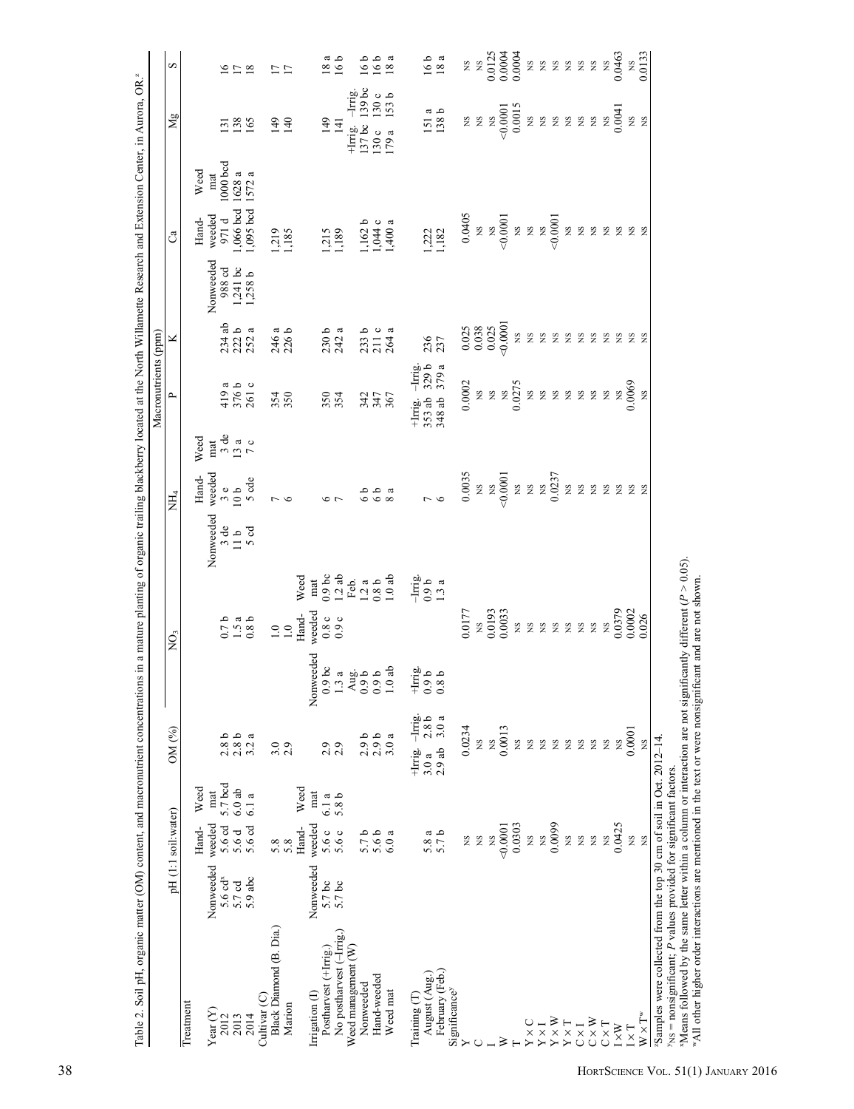|                                                                                                                   |                                  |                    |                |                           |                                                                                            |                                           |                                                             |                                                         |                                                               | Macronutrients (ppm)                                                         |                                    |                         |                                     |                                         |                         |
|-------------------------------------------------------------------------------------------------------------------|----------------------------------|--------------------|----------------|---------------------------|--------------------------------------------------------------------------------------------|-------------------------------------------|-------------------------------------------------------------|---------------------------------------------------------|---------------------------------------------------------------|------------------------------------------------------------------------------|------------------------------------|-------------------------|-------------------------------------|-----------------------------------------|-------------------------|
|                                                                                                                   |                                  | pH(1:1 soil:water) |                | OM (%)                    |                                                                                            | ğ                                         |                                                             | NН,                                                     |                                                               | $\sim$                                                                       | ⊻                                  |                         | ී                                   | Mg                                      | S                       |
| Treatment                                                                                                         |                                  | Hand-              | Weed           |                           |                                                                                            |                                           |                                                             | Hand-                                                   | Weed                                                          |                                                                              |                                    |                         | Weed<br>Hand-                       |                                         |                         |
| Year $(Y)$<br>2012                                                                                                | Nonweeded<br>5.6 cd <sup>x</sup> | weeded             | 5.7 bcd<br>mat | 2.8 <sub>b</sub>          |                                                                                            |                                           | Nonweeded<br>3 de                                           | weeded                                                  | $_{\rm mat}$                                                  |                                                                              |                                    | Nonweeded<br>988 cd     | 1000 bcd<br>mat<br>weeded<br>971 d  | $\tilde{\epsilon}$                      |                         |
| 2013                                                                                                              | 5.7cd                            | 5.6 d<br>5.6 d     | $6.0$ ab       | 2.8 <sub>b</sub>          |                                                                                            | $0.7a$<br>$0.8b$<br>$0.8c$                | 11b                                                         | $\begin{smallmatrix} 3 & 6 \\ 10 & 6 \end{smallmatrix}$ | $\begin{array}{c}\n3 \text{ de } \\ 7 \text{ o}\n\end{array}$ | $\frac{419}{376}$ b<br>376 b                                                 | $234$ ab<br>$222$ a<br>$252$ a     |                         | $,066$ bcd                          | 138                                     | 278                     |
| 2014                                                                                                              | 5.9 abc                          | 5.6 cd             | 6.1 a          | 3.2a                      |                                                                                            |                                           | 5 od                                                        | 5 cde                                                   |                                                               |                                                                              |                                    | $1,241$ bc<br>$1,258$ b | 1628 a<br>1572 a<br>1,095 bcd       | 165                                     |                         |
| Cultivar <sub>(C)</sub>                                                                                           |                                  |                    |                |                           |                                                                                            |                                           |                                                             |                                                         |                                                               |                                                                              |                                    |                         |                                     |                                         |                         |
| Black Diamond (B. Dia.)                                                                                           |                                  | 5.8                |                | 3.0                       |                                                                                            | $\frac{0}{1.0}$                           |                                                             | $\sim$ 0                                                |                                                               | 354                                                                          | $246a$<br>$226b$                   |                         | 1,219<br>1,185                      | $149$<br>140                            | $\overline{17}$         |
| Marion                                                                                                            |                                  | Hand-<br>5.8       | Weed           | 2.9                       |                                                                                            | Hand-                                     | Weed                                                        |                                                         |                                                               |                                                                              |                                    |                         |                                     |                                         |                         |
| Irrigation (I)                                                                                                    | Nonweeded                        | weeded             | mat            |                           | reeded<br>Nonw                                                                             | weeded                                    |                                                             |                                                         |                                                               |                                                                              |                                    |                         |                                     |                                         |                         |
| Postharvest (+Irrig.)                                                                                             |                                  | 5.6 c              | 6.1 a          | 2.9                       | $\frac{6}{3}$                                                                              |                                           | mat<br>0.9 bc<br>1.2 ab<br>Feb.<br>1.2 a<br>0.8 b<br>1.0 ab |                                                         |                                                               | 350                                                                          | 230 b                              |                         |                                     | 149                                     | ದ<br>$\overline{8}$     |
| No postharvest (-Irrig.)                                                                                          | 5.7 bc<br>5.7 bc                 | 5.6 c              | 5.8 b          | 2.9                       | $\frac{8}{2}$ $\frac{1}{2}$ $\frac{1}{2}$ $\frac{1}{2}$ $\frac{1}{2}$ $\frac{1}{2}$<br>1.3 | 0.8c                                      |                                                             |                                                         |                                                               | 354                                                                          | $\boldsymbol{\mathfrak{a}}$<br>242 |                         | $\frac{1,215}{3,189}$               | 141                                     | 16 <sub>b</sub>         |
| Weed management (W)                                                                                               |                                  |                    |                |                           | $\tilde{\mathcal{L}}$                                                                      |                                           |                                                             |                                                         |                                                               |                                                                              |                                    |                         |                                     | $-Imig$<br>$+I$ mig.                    |                         |
| Nonweeded                                                                                                         |                                  | 5.7 <sub>b</sub>   |                |                           | $\ddot{\circ}$                                                                             |                                           |                                                             |                                                         |                                                               |                                                                              | 233 b                              |                         |                                     | $139$ bc<br>$137$ bc                    | 16b                     |
| Hand-weeded                                                                                                       |                                  | 5.6 b              |                | $2.9b$<br>$2.9b$          |                                                                                            |                                           |                                                             |                                                         |                                                               |                                                                              |                                    |                         |                                     | 130c                                    |                         |
| Weed mat                                                                                                          |                                  | 6.0a               |                | 3.0a                      | $\frac{0.9}{1.0}$                                                                          |                                           |                                                             |                                                         |                                                               | 347<br>347<br>367                                                            | $211c$<br>$264a$                   |                         | $1,162$ b<br>$1,044$ c<br>$1,400$ a | $130c$<br>$153b$<br>179 a               | $\frac{166}{18}$ a      |
| August (Aug.)<br>Training (T                                                                                      |                                  |                    |                | +Irrig. -Irrig.<br>3.0a   | $+1$ rrig.<br>0.9 b<br>0.8 b                                                               |                                           | $\frac{-1}{1.3}$<br>$\frac{1}{3}$<br>$\frac{3}{4}$          |                                                         |                                                               | $\frac{1}{3}$<br>$\frac{3}{3}$<br>$\frac{1}{9}$<br>$\frac{1}{a}$<br>$+I$ mg. |                                    |                         |                                     |                                         |                         |
| February (Feb.)                                                                                                   |                                  | 5.8 a<br>5.7 b     |                | $2.8b$<br>$3.0a$<br>2.9ab |                                                                                            |                                           |                                                             | $\frac{7}{6}$                                           |                                                               | 353 ab<br>348 ab                                                             | 235                                |                         | 222                                 | $\frac{151}{138}$ b                     | $\frac{16}{18}$ a       |
| Significance <sup>y</sup>                                                                                         |                                  |                    |                |                           |                                                                                            |                                           |                                                             |                                                         |                                                               |                                                                              |                                    |                         |                                     |                                         |                         |
|                                                                                                                   |                                  | XS                 |                | 0.0234                    |                                                                                            | 0.0177                                    |                                                             | 0.0035                                                  |                                                               |                                                                              | 0.025<br>0.038                     |                         | 0.0405                              | <b>S</b> N                              | S X                     |
|                                                                                                                   |                                  | $_{\rm NS}$        |                | XS.                       |                                                                                            | $\begin{array}{c}\n 0.0193\n \end{array}$ |                                                             | $\mathbb{R}$                                            |                                                               |                                                                              |                                    |                         | E g                                 |                                         |                         |
|                                                                                                                   |                                  | XS                 |                | SN                        |                                                                                            |                                           |                                                             | $_{\rm NS}$                                             |                                                               |                                                                              | 0.025                              |                         |                                     | $\mathbf{S}$                            | 0.0125                  |
|                                                                                                                   |                                  | 0.0001             |                | 0.0013                    |                                                                                            | 0.0033                                    |                                                             | 0.0001                                                  |                                                               |                                                                              | 0.0001                             |                         | 00001                               |                                         | 0.0004                  |
|                                                                                                                   |                                  | 0.0303             |                | Σ                         |                                                                                            | $_{\rm NS}$                               |                                                             | $\mathbb{R}$                                            |                                                               |                                                                              | XS                                 |                         | XS                                  | $-0.0001$<br>0.0015                     |                         |
| $Y \times C$                                                                                                      |                                  | XS                 |                | SN                        |                                                                                            | E E E                                     |                                                             | gN                                                      |                                                               |                                                                              | XS                                 |                         | $\mathbf{S}$                        | $\begin{array}{c} 25 \\ 25 \end{array}$ |                         |
| ${\rm Y} \times {\rm I}$                                                                                          |                                  | $_{\rm NS}$        |                | ΧS                        |                                                                                            |                                           |                                                             | $_{\rm NS}$                                             |                                                               |                                                                              | χX                                 |                         | $\frac{100001}{2}$                  |                                         |                         |
| $\mathbf{Y}\times\mathbf{W}$<br>$\mathbf{Y}\times\mathbf{T}$                                                      |                                  | 0.0099             |                | Ş                         |                                                                                            |                                           |                                                             | 0.0237                                                  |                                                               | $\begin{array}{l} 0.0002 \\ 0.825 \\ 2.0275 \\ 0.0275 \\ \end{array}$        | $_{\rm NS}$                        |                         |                                     |                                         | 222222                  |
|                                                                                                                   |                                  | <b>NS</b>          |                | SN                        |                                                                                            |                                           |                                                             | χg                                                      |                                                               |                                                                              | ΧS                                 |                         | $\mathbf{\tilde{g}}$                |                                         |                         |
| $\overline{C} \times \overline{I}$                                                                                |                                  | XS                 |                | $\mathbf{\tilde{S}}$      |                                                                                            | <b>2222</b>                               |                                                             | SN                                                      |                                                               |                                                                              | $_{\rm NS}$                        |                         | χg                                  | $225$                                   |                         |
| $\mathbb{C}\times\mathbb{W}$                                                                                      |                                  | XS                 |                | $\mathbf{S}$              |                                                                                            |                                           |                                                             | S                                                       |                                                               |                                                                              | XS                                 |                         | SN                                  |                                         |                         |
| $C \times T$                                                                                                      |                                  | $_{\rm NS}$        |                | ΧS.                       |                                                                                            |                                           |                                                             | <b>S</b>                                                |                                                               | $\overline{S}$                                                               | $_{\rm NS}$                        |                         | <b>S</b>                            | 0.0041                                  | $\overline{\mathbf{S}}$ |
| $1\times W$                                                                                                       |                                  | 0.0425             |                | XS.                       |                                                                                            | 0.0379                                    |                                                             |                                                         |                                                               | XS                                                                           |                                    |                         |                                     |                                         | 0.0463                  |
| $I \times T$                                                                                                      |                                  | SN                 |                | 0.0001                    |                                                                                            | $0.0002$<br>$0.026$                       |                                                             | E E E                                                   |                                                               | 0.0069                                                                       | E E E                              |                         | E E E                               | <b>S</b> S                              | XS                      |
| $W\times T^w$                                                                                                     |                                  | χX                 |                | SN                        |                                                                                            |                                           |                                                             |                                                         |                                                               | $\mathbf{S}$                                                                 |                                    |                         |                                     |                                         | 0.0133                  |
| "Samples were collected from the top 30 cm of soil in Oct. 2012-14.                                               |                                  |                    |                |                           |                                                                                            |                                           |                                                             |                                                         |                                                               |                                                                              |                                    |                         |                                     |                                         |                         |
| $y_{NS}$ = nonsignificant; $P$ values provided for significant factors.                                           |                                  |                    |                |                           |                                                                                            |                                           |                                                             |                                                         |                                                               |                                                                              |                                    |                         |                                     |                                         |                         |
| "Means followed by the same letter within a column or interaction are not significantly different ( $P > 0.05$ ). |                                  |                    |                |                           |                                                                                            |                                           |                                                             |                                                         |                                                               |                                                                              |                                    |                         |                                     |                                         |                         |
| "All other higher order interactions are mentioned in the text or were nonsignificant and are not shown.          |                                  |                    |                |                           |                                                                                            |                                           |                                                             |                                                         |                                                               |                                                                              |                                    |                         |                                     |                                         |                         |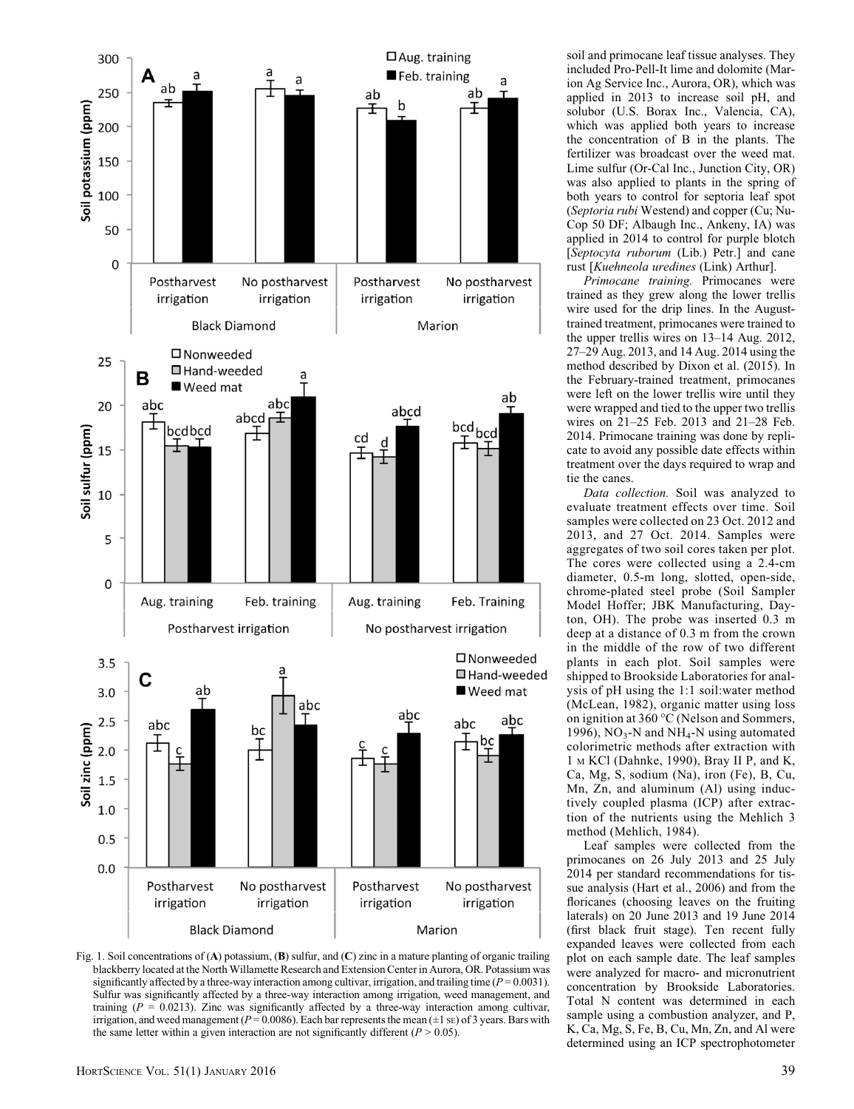

Fig. 1. Soil concentrations of (A) potassium, (B) sulfur, and (C) zinc in a mature planting of organic trailing blackberry located at the North Willamette Research and Extension Center in Aurora, OR. Potassium was significantly affected by a three-way interaction among cultivar, irrigation, and trailing time ( $P = 0.0031$ ). Sulfur was significantly affected by a three-way interaction among irrigation, weed management, and training ( $P = 0.0213$ ). Zinc was significantly affected by a three-way interaction among cultivar, irrigation, and weed management ( $P = 0.0086$ ). Each bar represents the mean ( $\pm 1$  sE) of 3 years. Bars with the same letter within a given interaction are not significantly different ( $P > 0.05$ ).

soil and primocane leaf tissue analyses. They included Pro-Pell-It lime and dolomite (Marion Ag Service Inc., Aurora, OR), which was applied in 2013 to increase soil pH, and solubor (U.S. Borax Inc., Valencia, CA), which was applied both years to increase the concentration of B in the plants. The fertilizer was broadcast over the weed mat. Lime sulfur (Or-Cal Inc., Junction City, OR) was also applied to plants in the spring of both years to control for septoria leaf spot (Septoria rubi Westend) and copper (Cu; Nu-Cop 50 DF; Albaugh Inc., Ankeny, IA) was applied in 2014 to control for purple blotch [Septocyta ruborum (Lib.) Petr.] and cane rust [Kuehneola uredines (Link) Arthur].

Primocane training. Primocanes were trained as they grew along the lower trellis wire used for the drip lines. In the Augusttrained treatment, primocanes were trained to the upper trellis wires on 13–14 Aug. 2012, 27–29 Aug. 2013, and 14 Aug. 2014 using the method described by Dixon et al. (2015). In the February-trained treatment, primocanes were left on the lower trellis wire until they were wrapped and tied to the upper two trellis wires on 21–25 Feb. 2013 and 21–28 Feb. 2014. Primocane training was done by replicate to avoid any possible date effects within treatment over the days required to wrap and tie the canes.

Data collection. Soil was analyzed to evaluate treatment effects over time. Soil samples were collected on 23 Oct. 2012 and 2013, and 27 Oct. 2014. Samples were aggregates of two soil cores taken per plot. The cores were collected using a 2.4-cm diameter, 0.5-m long, slotted, open-side, chrome-plated steel probe (Soil Sampler Model Hoffer; JBK Manufacturing, Dayton, OH). The probe was inserted 0.3 m deep at a distance of 0.3 m from the crown in the middle of the row of two different plants in each plot. Soil samples were shipped to Brookside Laboratories for analysis of pH using the 1:1 soil:water method (McLean, 1982), organic matter using loss on ignition at 360 °C (Nelson and Sommers, 1996),  $NO<sub>3</sub> - N$  and  $NH<sub>4</sub> - N$  using automated colorimetric methods after extraction with 1 <sup>M</sup> KCl (Dahnke, 1990), Bray II P, and K, Ca, Mg, S, sodium (Na), iron (Fe), B, Cu, Mn, Zn, and aluminum (Al) using inductively coupled plasma (ICP) after extraction of the nutrients using the Mehlich 3 method (Mehlich, 1984).

Leaf samples were collected from the primocanes on 26 July 2013 and 25 July 2014 per standard recommendations for tissue analysis (Hart et al., 2006) and from the floricanes (choosing leaves on the fruiting laterals) on 20 June 2013 and 19 June 2014 (first black fruit stage). Ten recent fully expanded leaves were collected from each plot on each sample date. The leaf samples were analyzed for macro- and micronutrient concentration by Brookside Laboratories. Total N content was determined in each sample using a combustion analyzer, and P, K, Ca, Mg, S, Fe, B, Cu, Mn, Zn, and Al were determined using an ICP spectrophotometer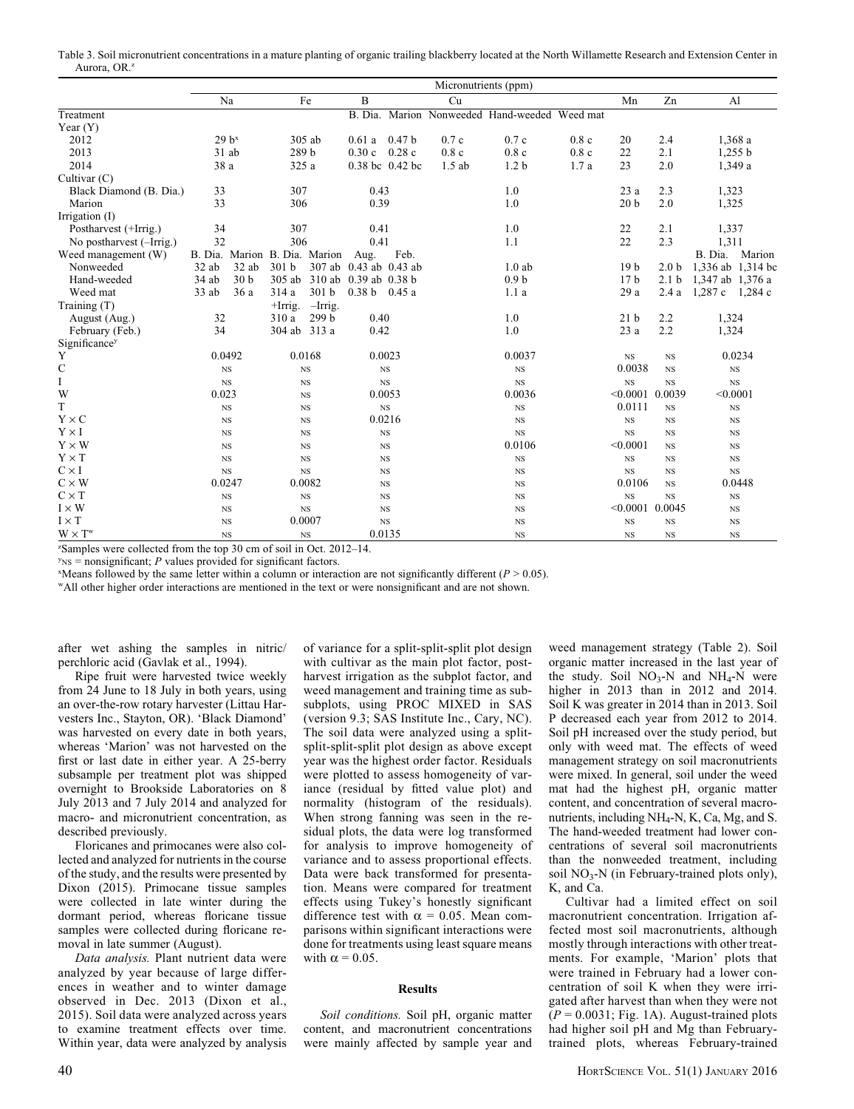Table 3. Soil micronutrient concentrations in a mature planting of organic trailing blackberry located at the North Willamette Research and Extension Center in Aurora, OR<sup>z</sup>

|                          |         |                               |                  |                  |                              |                   | Micronutrients (ppm) |                                               |      |                   |                  |                   |             |
|--------------------------|---------|-------------------------------|------------------|------------------|------------------------------|-------------------|----------------------|-----------------------------------------------|------|-------------------|------------------|-------------------|-------------|
|                          |         | Na                            |                  | Fe               | B                            |                   | Cu                   |                                               |      | Mn                | Zn               |                   | Al          |
| Treatment                |         |                               |                  |                  |                              |                   |                      | B. Dia. Marion Nonweeded Hand-weeded Weed mat |      |                   |                  |                   |             |
| Year $(Y)$               |         |                               |                  |                  |                              |                   |                      |                                               |      |                   |                  |                   |             |
| 2012                     |         | $29 b^x$                      |                  | 305 ab           | 0.61a                        | 0.47 <sub>b</sub> | 0.7c                 | 0.7c                                          | 0.8c | 20                | 2.4              |                   | 1,368 a     |
| 2013                     |         | 31 ab                         | 289 b            |                  | 0.30c                        | 0.28c             | 0.8c                 | 0.8c                                          | 0.8c | 22                | 2.1              |                   | 1,255 b     |
| 2014                     | 38 a    |                               | 325 a            |                  |                              | 0.38 bc 0.42 bc   | $1.5$ ab             | 1.2 <sub>b</sub>                              | 1.7a | 23                | 2.0              |                   | 1,349 a     |
| Cultivar (C)             |         |                               |                  |                  |                              |                   |                      |                                               |      |                   |                  |                   |             |
| Black Diamond (B. Dia.)  | 33      |                               | 307              |                  | 0.43                         |                   |                      | 1.0                                           |      | 23 a              | 2.3              | 1,323             |             |
| Marion                   | 33      |                               | 306              |                  | 0.39                         |                   |                      | 1.0                                           |      | 20 <sub>b</sub>   | 2.0              | 1,325             |             |
| Irrigation (I)           |         |                               |                  |                  |                              |                   |                      |                                               |      |                   |                  |                   |             |
| Postharvest (+Irrig.)    | 34      |                               | 307              |                  | 0.41                         |                   |                      | 1.0                                           |      | 22                | 2.1              | 1,337             |             |
| No postharvest (-Irrig.) | 32      |                               | 306              |                  | 0.41                         |                   |                      | 1.1                                           |      | 22                | 2.3              | 1,311             |             |
| Weed management (W)      |         | B. Dia. Marion B. Dia. Marion |                  |                  | Aug.                         | Feb.              |                      |                                               |      |                   |                  | B. Dia.           | Marion      |
| Nonweeded                | $32$ ab | $32$ ab                       | 301 <sub>b</sub> |                  | 307 ab 0.43 ab 0.43 ab       |                   |                      | $1.0$ ab                                      |      | 19 <sub>b</sub>   | 2.0 <sub>b</sub> | 1,336 ab 1,314 bc |             |
| Hand-weeded              | 34 ab   | 30 <sub>b</sub>               |                  |                  | 305 ab 310 ab 0.39 ab 0.38 b |                   |                      | 0.9 <sub>b</sub>                              |      | 17 <sub>b</sub>   | 2.1 <sub>b</sub> | 1,347 ab 1,376 a  |             |
| Weed mat                 | $33$ ab | 36a                           | 314 a            | 301 <sub>b</sub> | $0.38 b$ 0.45 a              |                   |                      | 1.1a                                          |      | 29 a              | 2.4a             | 1,287c            | 1,284 c     |
| Training (T)             |         |                               | $+Irrig.$        | $-Irrig.$        |                              |                   |                      |                                               |      |                   |                  |                   |             |
| August (Aug.)            | 32      |                               | 310 a            | 299 b            | 0.40                         |                   |                      | 1.0                                           |      | 21 <sub>b</sub>   | 2.2              | 1,324             |             |
| February (Feb.)          | 34      |                               | 304 ab 313 a     |                  | 0.42                         |                   |                      | 1.0                                           |      | 23 a              | 2.2              | 1,324             |             |
| Significancey            |         |                               |                  |                  |                              |                   |                      |                                               |      |                   |                  |                   |             |
| Y                        |         | 0.0492                        |                  | 0.0168           |                              | 0.0023            |                      | 0.0037                                        |      | $_{\rm NS}$       | $_{\rm NS}$      |                   | 0.0234      |
| $\mathsf{C}$             |         | $_{\rm NS}$                   |                  | $_{\rm NS}$      |                              | $_{\rm NS}$       |                      | $_{\rm NS}$                                   |      | 0.0038            | <b>NS</b>        |                   | $_{\rm NS}$ |
| $\mathbf I$              |         | $_{NS}$                       |                  | $_{\rm NS}$      |                              | $_{\rm NS}$       |                      | $_{\rm NS}$                                   |      | $_{\rm NS}$       | $_{\rm NS}$      |                   | $_{\rm NS}$ |
| W                        | 0.023   |                               |                  | $_{\rm NS}$      |                              | 0.0053            |                      | 0.0036                                        |      | < 0.0001          | 0.0039           | < 0.0001          |             |
| T                        |         | $_{\rm NS}$                   |                  | $_{\rm NS}$      |                              | $_{\rm NS}$       |                      | $_{\rm NS}$                                   |      | 0.0111            | $_{\rm NS}$      |                   | $_{\rm NS}$ |
| $Y \times C$             |         | $_{NS}$                       |                  | $_{\rm NS}$      |                              | 0.0216            |                      | $_{\rm NS}$                                   |      | $_{\rm NS}$       | $_{\rm NS}$      |                   | $_{\rm NS}$ |
| $Y \times I$             |         | $_{NS}$                       |                  | $_{\rm NS}$      |                              | $_{\rm NS}$       |                      | $_{\rm NS}$                                   |      | <b>NS</b>         | $_{\rm NS}$      |                   | $_{\rm NS}$ |
| $Y \times W$             |         | <b>NS</b>                     |                  | $_{\rm NS}$      |                              | $_{\rm NS}$       |                      | 0.0106                                        |      | < 0.0001          | <b>NS</b>        |                   | $_{\rm NS}$ |
| $Y \times T$             |         | $_{NS}$                       |                  | $_{\rm NS}$      |                              | $_{\rm NS}$       |                      | $_{\rm NS}$                                   |      | $_{\rm NS}$       | $_{\rm NS}$      |                   | $_{\rm NS}$ |
| $C \times I$             |         | $_{\rm NS}$                   |                  | $_{\rm NS}$      |                              | $_{\rm NS}$       |                      | $_{\rm NS}$                                   |      | <b>NS</b>         | $_{\rm NS}$      |                   | $_{\rm NS}$ |
| $C \times W$             |         | 0.0247                        |                  | 0.0082           |                              | $_{\rm NS}$       |                      | $_{\rm NS}$                                   |      | 0.0106            | $_{\rm NS}$      |                   | 0.0448      |
| $C \times T$             |         | $_{NS}$                       |                  | $_{\rm NS}$      |                              | $_{\rm NS}$       |                      | $_{\rm NS}$                                   |      | $_{\rm NS}$       | $_{\rm NS}$      |                   | $_{\rm NS}$ |
| $I \times W$             |         | $_{\rm NS}$                   |                  | $_{\rm NS}$      |                              | $_{\rm NS}$       |                      | $_{\rm NS}$                                   |      | $< 0.0001$ 0.0045 |                  |                   | $_{\rm NS}$ |
| $I \times T$             |         | $_{NS}$                       |                  | 0.0007           |                              | $_{\rm NS}$       |                      | $_{\rm NS}$                                   |      | $_{\rm NS}$       | $_{\rm NS}$      |                   | $_{\rm NS}$ |
| $W \times T^w$           |         | <b>NS</b>                     |                  | <b>NS</b>        |                              | 0.0135            |                      | <b>NS</b>                                     |      | <b>NS</b>         | $_{\rm NS}$      |                   | $_{\rm NS}$ |

z Samples were collected from the top 30 cm of soil in Oct. 2012–14.

 $y_{\text{NS}}$  = nonsignificant; P values provided for significant factors.

 $x$ Means followed by the same letter within a column or interaction are not significantly different ( $P > 0.05$ ).

wAll other higher order interactions are mentioned in the text or were nonsignificant and are not shown.

after wet ashing the samples in nitric/ perchloric acid (Gavlak et al., 1994).

Ripe fruit were harvested twice weekly from 24 June to 18 July in both years, using an over-the-row rotary harvester (Littau Harvesters Inc., Stayton, OR). 'Black Diamond' was harvested on every date in both years, whereas 'Marion' was not harvested on the first or last date in either year. A 25-berry subsample per treatment plot was shipped overnight to Brookside Laboratories on 8 July 2013 and 7 July 2014 and analyzed for macro- and micronutrient concentration, as described previously.

Floricanes and primocanes were also collected and analyzed for nutrients in the course of the study, and the results were presented by Dixon (2015). Primocane tissue samples were collected in late winter during the dormant period, whereas floricane tissue samples were collected during floricane removal in late summer (August).

Data analysis. Plant nutrient data were analyzed by year because of large differences in weather and to winter damage observed in Dec. 2013 (Dixon et al., 2015). Soil data were analyzed across years to examine treatment effects over time. Within year, data were analyzed by analysis of variance for a split-split-split plot design with cultivar as the main plot factor, postharvest irrigation as the subplot factor, and weed management and training time as subsubplots, using PROC MIXED in SAS (version 9.3; SAS Institute Inc., Cary, NC). The soil data were analyzed using a splitsplit-split-split plot design as above except year was the highest order factor. Residuals were plotted to assess homogeneity of variance (residual by fitted value plot) and normality (histogram of the residuals). When strong fanning was seen in the residual plots, the data were log transformed for analysis to improve homogeneity of variance and to assess proportional effects. Data were back transformed for presentation. Means were compared for treatment effects using Tukey's honestly significant difference test with  $\alpha = 0.05$ . Mean comparisons within significant interactions were done for treatments using least square means with  $\alpha = 0.05$ .

#### **Results**

Soil conditions. Soil pH, organic matter content, and macronutrient concentrations were mainly affected by sample year and weed management strategy (Table 2). Soil organic matter increased in the last year of the study. Soil  $NO<sub>3</sub>-N$  and  $NH<sub>4</sub>-N$  were higher in 2013 than in 2012 and 2014. Soil K was greater in 2014 than in 2013. Soil P decreased each year from 2012 to 2014. Soil pH increased over the study period, but only with weed mat. The effects of weed management strategy on soil macronutrients were mixed. In general, soil under the weed mat had the highest pH, organic matter content, and concentration of several macronutrients, including NH4-N, K, Ca, Mg, and S. The hand-weeded treatment had lower concentrations of several soil macronutrients than the nonweeded treatment, including soil  $NO<sub>3</sub>-N$  (in February-trained plots only), K, and Ca.

Cultivar had a limited effect on soil macronutrient concentration. Irrigation affected most soil macronutrients, although mostly through interactions with other treatments. For example, 'Marion' plots that were trained in February had a lower concentration of soil K when they were irrigated after harvest than when they were not  $(P = 0.0031; Fig. 1A)$ . August-trained plots had higher soil pH and Mg than Februarytrained plots, whereas February-trained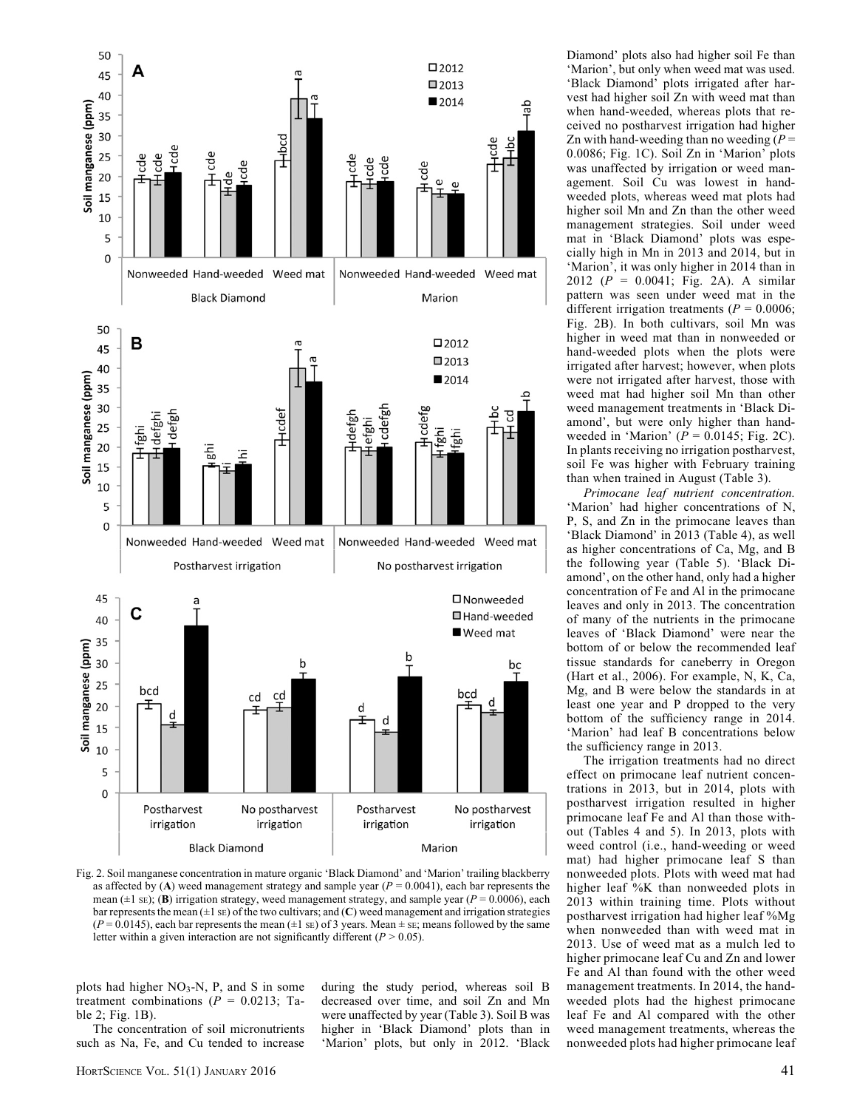

Fig. 2. Soil manganese concentration in mature organic 'Black Diamond' and 'Marion' trailing blackberry as affected by  $(A)$  weed management strategy and sample year  $(P = 0.0041)$ , each bar represents the mean ( $\pm 1$  sE); (**B**) irrigation strategy, weed management strategy, and sample year ( $P = 0.0006$ ), each bar represents the mean  $(\pm 1 \text{ s})$  of the two cultivars; and  $(C)$  weed management and irrigation strategies  $(P = 0.0145)$ , each bar represents the mean  $(\pm 1 \text{ se})$  of 3 years. Mean  $\pm$  sE; means followed by the same letter within a given interaction are not significantly different ( $P > 0.05$ ).

plots had higher  $NO<sub>3</sub>-N$ , P, and S in some treatment combinations ( $P = 0.0213$ ; Table 2; Fig. 1B).

The concentration of soil micronutrients such as Na, Fe, and Cu tended to increase

during the study period, whereas soil B decreased over time, and soil Zn and Mn were unaffected by year (Table 3). Soil B was higher in 'Black Diamond' plots than in 'Marion' plots, but only in 2012. 'Black Diamond' plots also had higher soil Fe than 'Marion', but only when weed mat was used. 'Black Diamond' plots irrigated after harvest had higher soil Zn with weed mat than when hand-weeded, whereas plots that received no postharvest irrigation had higher Zn with hand-weeding than no weeding  $(P =$ 0.0086; Fig. 1C). Soil Zn in 'Marion' plots was unaffected by irrigation or weed management. Soil Cu was lowest in handweeded plots, whereas weed mat plots had higher soil Mn and Zn than the other weed management strategies. Soil under weed mat in 'Black Diamond' plots was especially high in Mn in 2013 and 2014, but in 'Marion', it was only higher in 2014 than in 2012 ( $P = 0.0041$ ; Fig. 2A). A similar pattern was seen under weed mat in the different irrigation treatments ( $P = 0.0006$ ; Fig. 2B). In both cultivars, soil Mn was higher in weed mat than in nonweeded or hand-weeded plots when the plots were irrigated after harvest; however, when plots were not irrigated after harvest, those with weed mat had higher soil Mn than other weed management treatments in 'Black Diamond', but were only higher than handweeded in 'Marion'  $(P = 0.0145;$  Fig. 2C). In plants receiving no irrigation postharvest, soil Fe was higher with February training than when trained in August (Table 3).

Primocane leaf nutrient concentration. 'Marion' had higher concentrations of N, P, S, and Zn in the primocane leaves than 'Black Diamond' in 2013 (Table 4), as well as higher concentrations of Ca, Mg, and B the following year (Table 5). 'Black Diamond', on the other hand, only had a higher concentration of Fe and Al in the primocane leaves and only in 2013. The concentration of many of the nutrients in the primocane leaves of 'Black Diamond' were near the bottom of or below the recommended leaf tissue standards for caneberry in Oregon (Hart et al., 2006). For example, N, K, Ca, Mg, and B were below the standards in at least one year and P dropped to the very bottom of the sufficiency range in 2014. 'Marion' had leaf B concentrations below the sufficiency range in 2013.

The irrigation treatments had no direct effect on primocane leaf nutrient concentrations in 2013, but in 2014, plots with postharvest irrigation resulted in higher primocane leaf Fe and Al than those without (Tables 4 and 5). In 2013, plots with weed control (i.e., hand-weeding or weed mat) had higher primocane leaf S than nonweeded plots. Plots with weed mat had higher leaf %K than nonweeded plots in 2013 within training time. Plots without postharvest irrigation had higher leaf %Mg when nonweeded than with weed mat in 2013. Use of weed mat as a mulch led to higher primocane leaf Cu and Zn and lower Fe and Al than found with the other weed management treatments. In 2014, the handweeded plots had the highest primocane leaf Fe and Al compared with the other weed management treatments, whereas the nonweeded plots had higher primocane leaf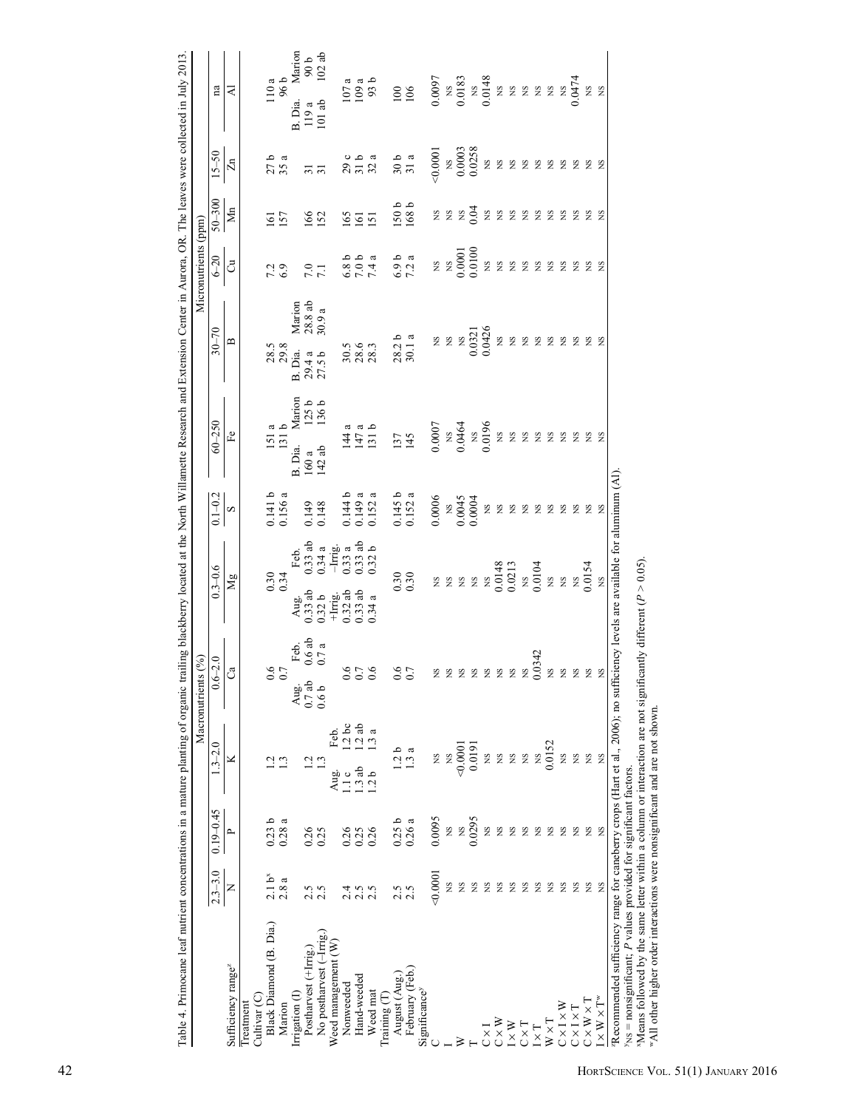| Advised to Sumple bear and the contract of the contract of the property of the contract of the contract of the contract of the contract of the contract of the contract of the contract of the contract of the contract of the |                    |                   |                               | Macronutrients (%)                        |                                                                            |                        |                                     | n and the control of the control of the control of the control of the control of the control of the control of the control of the control of the control of the control of the control of the control of the control of the co | Micronutrients (ppm)                                          |                  |                                                           |                                                              |
|--------------------------------------------------------------------------------------------------------------------------------------------------------------------------------------------------------------------------------|--------------------|-------------------|-------------------------------|-------------------------------------------|----------------------------------------------------------------------------|------------------------|-------------------------------------|--------------------------------------------------------------------------------------------------------------------------------------------------------------------------------------------------------------------------------|---------------------------------------------------------------|------------------|-----------------------------------------------------------|--------------------------------------------------------------|
|                                                                                                                                                                                                                                | $2.3 - 3.0$        | $0.19 - 0.45$     | $1.3 - 2.0$                   | $.6 - 2.0$                                | $0.3 - 0.6$                                                                | $0.1 - 0.2$            | $60 - 250$                          | $30 - 70$                                                                                                                                                                                                                      | $6 - 20$                                                      | $50 - 300$       | $15 - 50$                                                 | na                                                           |
| Sufficiency range <sup>z</sup>                                                                                                                                                                                                 | Z                  | $\sim$            | ×                             | ී                                         | Mg                                                                         | $\infty$               | Fe                                  | $\mathbf{r}$                                                                                                                                                                                                                   | $\ddot{\circ}$                                                | $\mathbf{M}$ n   | $\mathbb{Z}^n$                                            | ₹                                                            |
| Cultivar (C)<br>Treatment                                                                                                                                                                                                      |                    |                   |                               |                                           |                                                                            |                        |                                     |                                                                                                                                                                                                                                |                                                               |                  |                                                           |                                                              |
| Black Diamond (B. Dia.)                                                                                                                                                                                                        | 2.1 b <sup>x</sup> | 0.23 <sub>b</sub> | $\frac{2}{1}$ $\frac{3}{1}$   | 0.7                                       | 0.34                                                                       | $0.141 b$<br>$0.156 a$ | $\frac{151}{131}$ b                 | $28.5$<br>$29.8$                                                                                                                                                                                                               | 7.3                                                           | $\overline{161}$ | $27b$<br>$35a$                                            | $\frac{110a}{96b}$                                           |
| Marion                                                                                                                                                                                                                         | 2.8a               | 0.28a             |                               |                                           |                                                                            |                        |                                     |                                                                                                                                                                                                                                |                                                               | 157              |                                                           |                                                              |
| Irrigation (I)                                                                                                                                                                                                                 |                    |                   |                               | Feb.<br>$0.6$ ab<br>$0.7$ a<br>Aug.       | Feb.<br>0.33 ab<br>0.34 a<br>- Irrig.<br>0.33 ab<br>0.32 b<br>Aug.         |                        | Marion<br>125 b<br>136 b<br>B. Dia. | Marion<br>$28.8$ ab<br>$30.9$ a<br>B. Dia.                                                                                                                                                                                     |                                                               |                  |                                                           | Marion<br>$90 b$<br>$102 ab$<br>B. Dia.                      |
| Postharvest (+Irrig.)                                                                                                                                                                                                          | 2.5                | 0.26              | 1.2                           | $0.7$ ab                                  | $0.33$ ab                                                                  | 0.149                  | $\frac{160a}{142ab}$                | $29.4 a$<br>$27.5 b$                                                                                                                                                                                                           | 7.1                                                           | 166              | $\overline{31}$                                           | $\frac{119a}{101ab}$                                         |
| No postharvest (-Irrig.                                                                                                                                                                                                        | 2.5                | 0.25              | 1.3                           | 0.6 <sub>b</sub>                          |                                                                            | 0.148                  |                                     |                                                                                                                                                                                                                                |                                                               |                  | $\overline{5}$                                            |                                                              |
| Weed management (W                                                                                                                                                                                                             |                    |                   | Feb.<br>Aug.                  |                                           | $0.32 b$<br>+Irrig.<br>0.32 ab<br>0.33 ab                                  |                        |                                     |                                                                                                                                                                                                                                |                                                               |                  |                                                           |                                                              |
| Nonweeded                                                                                                                                                                                                                      | 24                 | 0.26              | 1.2bc<br>1.1c                 | $\circ$<br>Ò.                             |                                                                            | 0.144 b                |                                     |                                                                                                                                                                                                                                |                                                               |                  |                                                           |                                                              |
| Hand-weeded                                                                                                                                                                                                                    | 2.5                | 0.25              | $\frac{1.2}{1.3}$ ab<br>1.3ab | $\begin{array}{c} 0.7 \\ 0.6 \end{array}$ |                                                                            | $0.149$ a              |                                     | $30.5$<br>$28.3$<br>$28.3$                                                                                                                                                                                                     |                                                               | $\frac{66}{6}$   | o<br>2<br>2<br>3<br>3<br>3<br>3                           | $\frac{107}{109}$ a<br>109 a                                 |
| Weed mat                                                                                                                                                                                                                       |                    | 0.26              | 1.2 <sub>b</sub>              |                                           | 0.34a                                                                      | 0.152a                 | $147a$<br>$147a$<br>$131b$          |                                                                                                                                                                                                                                | $0.804$<br>$7.40$<br>$7.4$                                    |                  |                                                           |                                                              |
| Training (T)                                                                                                                                                                                                                   |                    |                   |                               |                                           |                                                                            |                        |                                     |                                                                                                                                                                                                                                |                                                               |                  |                                                           |                                                              |
| August (Aug.                                                                                                                                                                                                                   | 2.5                | 0.25b             | $\circ$<br>L,                 | 0.6                                       |                                                                            |                        | 137                                 |                                                                                                                                                                                                                                |                                                               |                  | $30a$<br>$31a$                                            |                                                              |
| February (Feb.)                                                                                                                                                                                                                | 2.5                | 0.26a             | $\frac{3}{a}$                 | 0.7                                       | $0.30$<br>$0.30$                                                           | $0.145 b$<br>$0.152 a$ | 145                                 | $28.2 b$<br>$30.1 a$                                                                                                                                                                                                           | $6.9 b$<br>7.2 a                                              | 150b<br>168 b    |                                                           | 106                                                          |
| Significance <sup>y</sup>                                                                                                                                                                                                      |                    |                   |                               |                                           |                                                                            |                        |                                     |                                                                                                                                                                                                                                |                                                               |                  |                                                           |                                                              |
|                                                                                                                                                                                                                                | 0.0001             | 0.0095            | XS                            | SN                                        |                                                                            | 0.0006                 | $0.0007$<br>$0.0464$                |                                                                                                                                                                                                                                |                                                               | 8 K              | 0.0001                                                    | $\begin{array}{c} 0.0097 \\ \text{NS} \\ 0.0183 \end{array}$ |
|                                                                                                                                                                                                                                | SN                 | g                 | XS                            |                                           | 8 S                                                                        |                        |                                     |                                                                                                                                                                                                                                |                                                               |                  |                                                           |                                                              |
| ⋗                                                                                                                                                                                                                              | XS                 | <b>S</b>          | 0.0001                        | $_{\rm NS}$                               | $_{\rm SN}$                                                                |                        |                                     |                                                                                                                                                                                                                                |                                                               |                  |                                                           |                                                              |
|                                                                                                                                                                                                                                | XS                 | 0.0295            | 0.0191                        | $_{\rm NS}$                               | XS                                                                         | $0.0045$<br>0.00045    | $\frac{NS}{0.0196}$                 | ия<br>28 м<br>0.0321<br>0.0426                                                                                                                                                                                                 | $\begin{array}{c} 188 \\ 180 \\ 0.0001 \\ 0.0100 \end{array}$ | 0.04             | $\begin{array}{c} \tt NS \\ 0.0003 \\ 0.0258 \end{array}$ |                                                              |
| $C \times I$                                                                                                                                                                                                                   | XS                 | ΧS.               | ΧS                            | ΧS                                        |                                                                            | XS                     |                                     |                                                                                                                                                                                                                                | 8N                                                            |                  | $_{\rm NS}$                                               |                                                              |
| $C \times W$                                                                                                                                                                                                                   | SN                 | <b>S</b>          | ΧS                            | $_{\rm NS}$                               |                                                                            | XS                     | XS                                  | XS                                                                                                                                                                                                                             |                                                               |                  | χg                                                        |                                                              |
| $\mathbb{I}\times\mathbb{W}$                                                                                                                                                                                                   |                    | SN                | ΧS                            | ΧS                                        | $\begin{array}{c} 188 \\ 0.0148 \\ 0.0213 \\ 0.0104 \\ 0.0104 \end{array}$ | XS                     | χ                                   | XS                                                                                                                                                                                                                             | <b>22222</b>                                                  | <b>2222222</b>   | <b>SSE</b>                                                | <b>8232222223</b>                                            |
| $\mathbf{C}\times\mathbf{T}$                                                                                                                                                                                                   |                    | <b>S</b>          | XS                            | XS                                        |                                                                            | $_{\rm NS}$            | SN                                  | XS                                                                                                                                                                                                                             |                                                               |                  |                                                           |                                                              |
| $I \times T$                                                                                                                                                                                                                   |                    | ΧŠ                | XS                            | 0.0342                                    |                                                                            | XS                     | XS                                  | XS                                                                                                                                                                                                                             |                                                               |                  |                                                           |                                                              |
| $W \times T$                                                                                                                                                                                                                   | SN                 | <b>S</b>          | 0.0152                        | XS                                        |                                                                            | XS                     | XS                                  | XS                                                                                                                                                                                                                             |                                                               |                  | XS                                                        |                                                              |
| $C \times I \times W$                                                                                                                                                                                                          | SN                 | SN                | SN                            | <b>NS</b>                                 | XS                                                                         | XS                     | XS                                  | XS                                                                                                                                                                                                                             | $\mathbf{S}$                                                  |                  | χ                                                         | $_{\rm NS}$                                                  |
| $C \times I \times T$                                                                                                                                                                                                          | SN                 | SN                | XS                            |                                           |                                                                            | $_{\rm NS}$            | 2                                   | E E E                                                                                                                                                                                                                          | $\mathbf{S}$                                                  | <b>S</b>         | NS                                                        | 0.0474                                                       |
| $C \times W \times T$                                                                                                                                                                                                          | χŊ                 | SN                | SN                            | SN                                        | NS<br>0.0154<br>NS                                                         | SN                     | E S                                 |                                                                                                                                                                                                                                | 2 <sup>9</sup>                                                | 22               | E S                                                       | 8 K                                                          |
| $\mathbb{I}\times\mathbb{W}\times\mathbb{T}^{\text{w}}$                                                                                                                                                                        | NS                 | S                 | XS                            | $_{\rm NS}$                               |                                                                            | XS                     |                                     |                                                                                                                                                                                                                                |                                                               |                  |                                                           |                                                              |
| "Recommended sufficiency range for caneberry crops (Hart et al., 2006), no sufficiency levels are available for aluminum (Al)<br>$y_{NS}$ = nonsignificant; P values provided for significant factors.                         |                    |                   |                               |                                           |                                                                            |                        |                                     |                                                                                                                                                                                                                                |                                                               |                  |                                                           |                                                              |
| Neans followed by the same letter within a column or interaction are not significantly different $(P > 0.05)$ .                                                                                                                |                    |                   |                               |                                           |                                                                            |                        |                                     |                                                                                                                                                                                                                                |                                                               |                  |                                                           |                                                              |
| "All other higher order interactions were nonsignificant and are not shown.                                                                                                                                                    |                    |                   |                               |                                           |                                                                            |                        |                                     |                                                                                                                                                                                                                                |                                                               |                  |                                                           |                                                              |
|                                                                                                                                                                                                                                |                    |                   |                               |                                           |                                                                            |                        |                                     |                                                                                                                                                                                                                                |                                                               |                  |                                                           |                                                              |

were collected in July 2013. Table 4. Primocane leaf nutrient concentrations in a mature planting of organic trailing blackberry located at the North Willamette Research and Extension Center in Aurora, OR. The leaves were collected in July 2013. and Extension Center in Aurora, OR. The leaves  $\sim$ ganic trailing blackberry located at the North Willamette Res mature planting of c nns in  $\ddot{ }$ vcane leaf nutri Table 4. Primo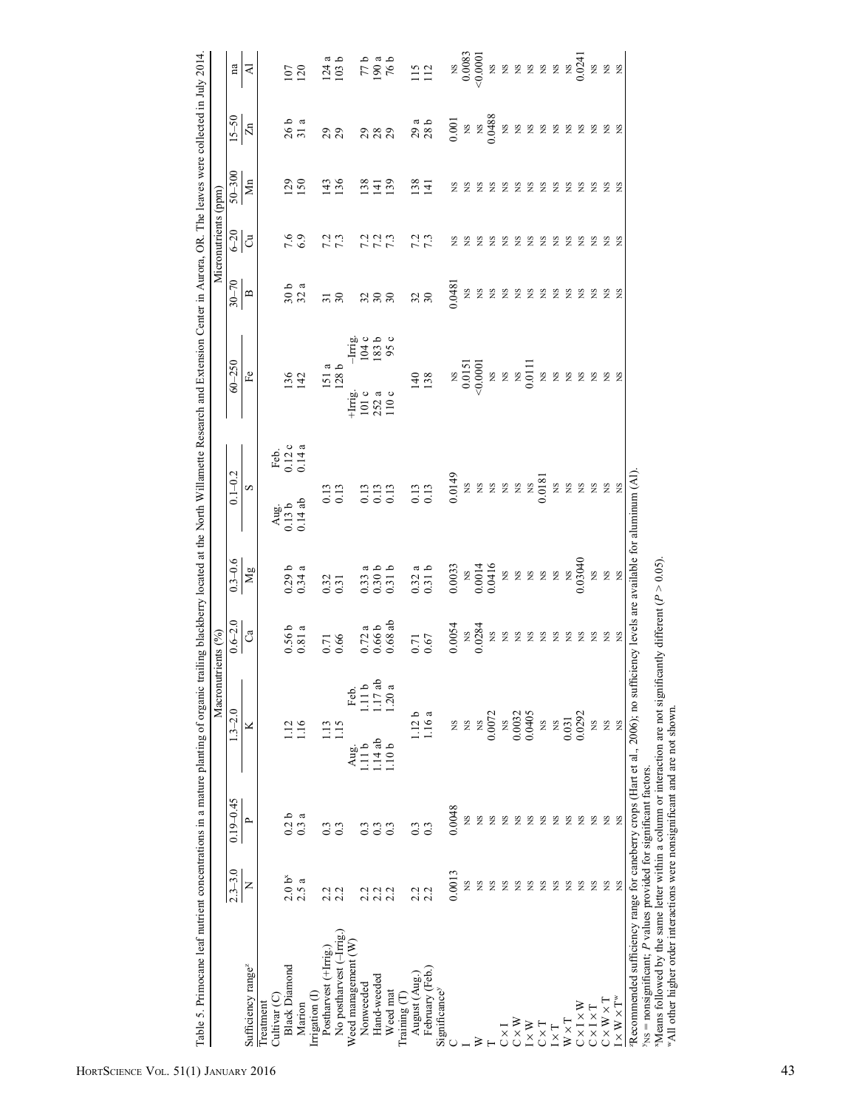| Table 5. Primocane leaf nutrient concentrations in a mature planting of organic trailing blackberry located at the North Willamette Research and Extension Center in Aurora, OR. The leaves were collected in July 2014 |                  |                  |                   |                    |                                             |                                                                                                                                                                                                                                                                   |                                                                                        |                          |                                                        |                                                       |                 |                         |                            |                    |                                                                                                 |
|-------------------------------------------------------------------------------------------------------------------------------------------------------------------------------------------------------------------------|------------------|------------------|-------------------|--------------------|---------------------------------------------|-------------------------------------------------------------------------------------------------------------------------------------------------------------------------------------------------------------------------------------------------------------------|----------------------------------------------------------------------------------------|--------------------------|--------------------------------------------------------|-------------------------------------------------------|-----------------|-------------------------|----------------------------|--------------------|-------------------------------------------------------------------------------------------------|
|                                                                                                                                                                                                                         |                  |                  |                   | Macronutrients (%) |                                             |                                                                                                                                                                                                                                                                   |                                                                                        |                          |                                                        |                                                       |                 | Micronutrients (ppm)    |                            |                    |                                                                                                 |
|                                                                                                                                                                                                                         | $2.3 - 3.0$      | $0.19 - 0.45$    | $1.3 - 2.0$       |                    | $0.6 - 2.0$                                 | $0.3 - 0.6$                                                                                                                                                                                                                                                       | $0.1 - 0.2$                                                                            |                          | $60 - 250$                                             |                                                       | $30 - 70$       | $rac{6-20}{C}$          | $50 - 300$                 | $15 - 50$          | na                                                                                              |
| Sufficiency range <sup>z</sup>                                                                                                                                                                                          | Z                | $\sim$           | ×                 |                    | ී                                           | $\mathbf{Mg}$                                                                                                                                                                                                                                                     | $\infty$                                                                               |                          | £e                                                     |                                                       | $\mathbf{r}$    |                         | $\mathop{\rm Mn}\nolimits$ | $\overline{z}$     | ব                                                                                               |
| Cultivar <sub>(C)</sub><br>Treatment                                                                                                                                                                                    |                  |                  |                   |                    |                                             |                                                                                                                                                                                                                                                                   |                                                                                        |                          |                                                        |                                                       |                 |                         |                            |                    |                                                                                                 |
| <b>Black Diamond</b>                                                                                                                                                                                                    | 2.0 <sup>8</sup> | 0.2 <sub>b</sub> |                   |                    |                                             |                                                                                                                                                                                                                                                                   | Aug.<br>$0.13 b$<br>$0.14 ab$                                                          | Feb.<br>0.12 c<br>0.14 a |                                                        |                                                       |                 |                         |                            |                    |                                                                                                 |
| Marion                                                                                                                                                                                                                  | 2.5a             | 0.3a             | 1.16              |                    | $0.56 b$<br>$0.81 a$                        | $0.29 b$<br>$0.34 a$                                                                                                                                                                                                                                              |                                                                                        |                          | 136<br>142                                             |                                                       | $30a$<br>$32a$  | 7.6<br>6.9              | 129                        | 26 <sub>a</sub>    | 107<br>120                                                                                      |
| Irrigation (I)                                                                                                                                                                                                          |                  |                  |                   |                    |                                             |                                                                                                                                                                                                                                                                   |                                                                                        |                          |                                                        |                                                       |                 |                         |                            |                    |                                                                                                 |
| Postharvest $(+\text{Im}\,\mathbf{g})$ .                                                                                                                                                                                |                  | $\frac{3}{2}$    | 1.13              |                    | 0.71                                        | 0.32                                                                                                                                                                                                                                                              | $\begin{array}{c} 0.13 \\ 0.13 \end{array}$                                            |                          | $\frac{151}{128}$ b                                    |                                                       | $\overline{31}$ | 7.3<br>7.3              | $\overline{43}$            | 29                 |                                                                                                 |
| No postharvest (-Irrig.)                                                                                                                                                                                                | 2.2              | 0.3              | 21.15             |                    |                                             |                                                                                                                                                                                                                                                                   |                                                                                        |                          |                                                        |                                                       | 30              |                         | 136                        |                    | $\frac{124}{103}$ b                                                                             |
| Weed management (W)                                                                                                                                                                                                     |                  |                  | Aug.              | Feb.               |                                             |                                                                                                                                                                                                                                                                   |                                                                                        |                          | $+$ Irrig.                                             |                                                       |                 |                         |                            |                    |                                                                                                 |
| Nonweeded                                                                                                                                                                                                               |                  |                  | 1.11b             | 1.11 <sub>b</sub>  |                                             |                                                                                                                                                                                                                                                                   |                                                                                        |                          |                                                        |                                                       |                 |                         | <sup>38</sup>              |                    |                                                                                                 |
| Hand-weeded                                                                                                                                                                                                             |                  | 0.3              | 1.14ab            | 1.17ab             |                                             |                                                                                                                                                                                                                                                                   |                                                                                        |                          | $\frac{101}{252}$<br>110 c                             | $\frac{1 \text{ m} \text{g}}{104 \text{ c}}$<br>183 b | 3.88            | 7 7 7<br>7 7 7<br>7 7 7 | $\frac{141}{139}$          | 388                |                                                                                                 |
| Weed mat                                                                                                                                                                                                                |                  | 0.3              | 1.10 <sub>b</sub> | 1.20a              | $0.72a$<br>$0.66b$<br>$0.68ab$              | $0.33a$<br>$0.30b$<br>$0.31b$                                                                                                                                                                                                                                     | 0.13<br>0.13<br>0.13                                                                   |                          |                                                        |                                                       |                 |                         |                            |                    | $\frac{77}{190}$ a<br>76 b                                                                      |
| Training $(T)$                                                                                                                                                                                                          |                  |                  |                   |                    |                                             |                                                                                                                                                                                                                                                                   |                                                                                        |                          |                                                        |                                                       |                 |                         |                            |                    |                                                                                                 |
| August (Aug.)                                                                                                                                                                                                           | ų                | 0.3              | 112b              |                    |                                             |                                                                                                                                                                                                                                                                   |                                                                                        |                          |                                                        |                                                       | $\frac{32}{30}$ | 7 13<br>7 13            | 138                        |                    |                                                                                                 |
| February (Feb.)                                                                                                                                                                                                         | N                | 0.3              | 1.16 a            |                    | $\begin{array}{c} 0.71 \\ 0.67 \end{array}$ | $0.32a$<br>$0.31b$                                                                                                                                                                                                                                                | $\begin{array}{c} 0.13 \\ 0.13 \end{array}$                                            |                          | 140<br>138                                             |                                                       |                 |                         | $\overline{141}$           | 29a                | 115                                                                                             |
| Significance <sup>y</sup>                                                                                                                                                                                               |                  |                  |                   |                    |                                             |                                                                                                                                                                                                                                                                   |                                                                                        |                          |                                                        |                                                       |                 |                         |                            |                    |                                                                                                 |
|                                                                                                                                                                                                                         | 0.0013           | 0.0048           | SN                |                    | 0.0054                                      | 0.0033                                                                                                                                                                                                                                                            | $\frac{0.0149}{0.88}$<br>$\frac{88}{0.88}$<br>$\frac{88}{0.88}$<br>$\frac{88}{0.0181}$ |                          |                                                        |                                                       | 0.0481          | ΧS                      | SN                         | $0.001\,$          |                                                                                                 |
|                                                                                                                                                                                                                         | SN.              | XS               | SX                |                    |                                             |                                                                                                                                                                                                                                                                   |                                                                                        |                          |                                                        |                                                       | ΧS              | SN                      | S                          |                    |                                                                                                 |
| ≽                                                                                                                                                                                                                       | SN               | XS               | XS                |                    | NS<br>0.0284                                |                                                                                                                                                                                                                                                                   |                                                                                        |                          |                                                        |                                                       | ΧS              | SN                      | S                          |                    |                                                                                                 |
|                                                                                                                                                                                                                         | S                | XS               | 0.0072            |                    | $_{\rm NS}$                                 | $\begin{array}{c} 0.0000\\ 0.0014\\ 0.0416\\ 0.0416\\ 0.0014\\ 0.0000\\ 0.0000\\ 0.0000\\ 0.0000\\ 0.0000\\ 0.0000\\ 0.0000\\ 0.0000\\ 0.0000\\ 0.0000\\ 0.0000\\ 0.0000\\ 0.0000\\ 0.0000\\ 0.0000\\ 0.0000\\ 0.0000\\ 0.0000\\ 0.0000\\ 0.0000\\ 0.0000\\ 0.00$ |                                                                                        |                          | $\frac{0.0151}{0.0151}$<br>vs<br>xs                    |                                                       | $_{\rm NS}$     | SN                      | S                          | NS<br>NS<br>0.0488 | $\begin{array}{c} 0.0083 \\ 0.00000 \\ \bigcirc \\ 0.0001 \\ \bigcirc \\ 0.0001 \\ \end{array}$ |
| $C \times I$                                                                                                                                                                                                            | S                | XS               | $\mathbf{S}$      |                    | $_{\rm NS}$                                 |                                                                                                                                                                                                                                                                   |                                                                                        |                          |                                                        |                                                       | ΧS              | SN                      | S                          | XS                 |                                                                                                 |
| $C \times W$                                                                                                                                                                                                            | S                | XS               | 0.0032<br>0.0405  |                    | ΧS                                          |                                                                                                                                                                                                                                                                   |                                                                                        |                          | $\begin{array}{c} 1 \ \text{NS} \\ 0.0111 \end{array}$ |                                                       | $_{\rm NS}$     | SN                      | SN                         | χŊ                 |                                                                                                 |
| $I \times W$                                                                                                                                                                                                            | S                | ΧS               |                   |                    | SN                                          |                                                                                                                                                                                                                                                                   |                                                                                        |                          |                                                        |                                                       | XS              | SN                      | S                          | $_{\rm NS}$        |                                                                                                 |
| $C \times T$                                                                                                                                                                                                            | S                | X                | <b>SX</b>         |                    | <b>2222222</b>                              |                                                                                                                                                                                                                                                                   |                                                                                        |                          | 2222222                                                |                                                       | χg              | SN                      | S                          | <b>222222</b>      |                                                                                                 |
| $I \times T$                                                                                                                                                                                                            | S                | SN               | $\overline{S}$    |                    |                                             |                                                                                                                                                                                                                                                                   |                                                                                        |                          |                                                        |                                                       | SN              | S                       | S                          |                    |                                                                                                 |
| $W \times T$                                                                                                                                                                                                            | SN               | XS               | 0.031             |                    |                                             |                                                                                                                                                                                                                                                                   | $_{\rm SN}^{\rm SN}$                                                                   |                          |                                                        |                                                       | <b>S</b>        | SN                      | S                          |                    |                                                                                                 |
| $C \times I \times W$                                                                                                                                                                                                   | SN               | ŠN               | 0.0292            |                    |                                             |                                                                                                                                                                                                                                                                   | $_{\rm SN}$                                                                            |                          |                                                        |                                                       | SN              | SN                      | S                          |                    |                                                                                                 |
| $C \times I \times T$                                                                                                                                                                                                   | SN               | ŠN               | XS.               |                    |                                             | ΧŊ                                                                                                                                                                                                                                                                |                                                                                        |                          |                                                        |                                                       | $_{\rm NS}$     | SN                      | SN                         |                    |                                                                                                 |
| $C \times W \times T$                                                                                                                                                                                                   | SN               | XS               | XS                |                    |                                             | E<br>S<br>N                                                                                                                                                                                                                                                       | <b>SSE</b>                                                                             |                          |                                                        |                                                       | SN              | E S                     | S                          |                    | XS                                                                                              |
| $I\times W\times T^w$                                                                                                                                                                                                   | SN               | XS               | ΧS                |                    | XS                                          |                                                                                                                                                                                                                                                                   |                                                                                        |                          |                                                        |                                                       | <b>NS</b>       |                         | S                          | SN                 | XS                                                                                              |
| "Recommended sufficiency range for caneberry crops (Hart et al., 2006), no sufficiency levels are available for aluminum (Al)                                                                                           |                  |                  |                   |                    |                                             |                                                                                                                                                                                                                                                                   |                                                                                        |                          |                                                        |                                                       |                 |                         |                            |                    |                                                                                                 |

 $v_{NS}$  = nonsignificant; *P* values provided for significant factors.<br>
"Means followed by the same letter within a column or interaction are not significantly different (*P* > 0.05).<br>
"All other higher order interactions P values provided for significant factors.  $y_{NS} =$  nonsignificant;

XMeans followed by the same letter within a column or interaction are not significantly different (P > 0.05). wAll other higher order interactions were nonsignificant and are not shown.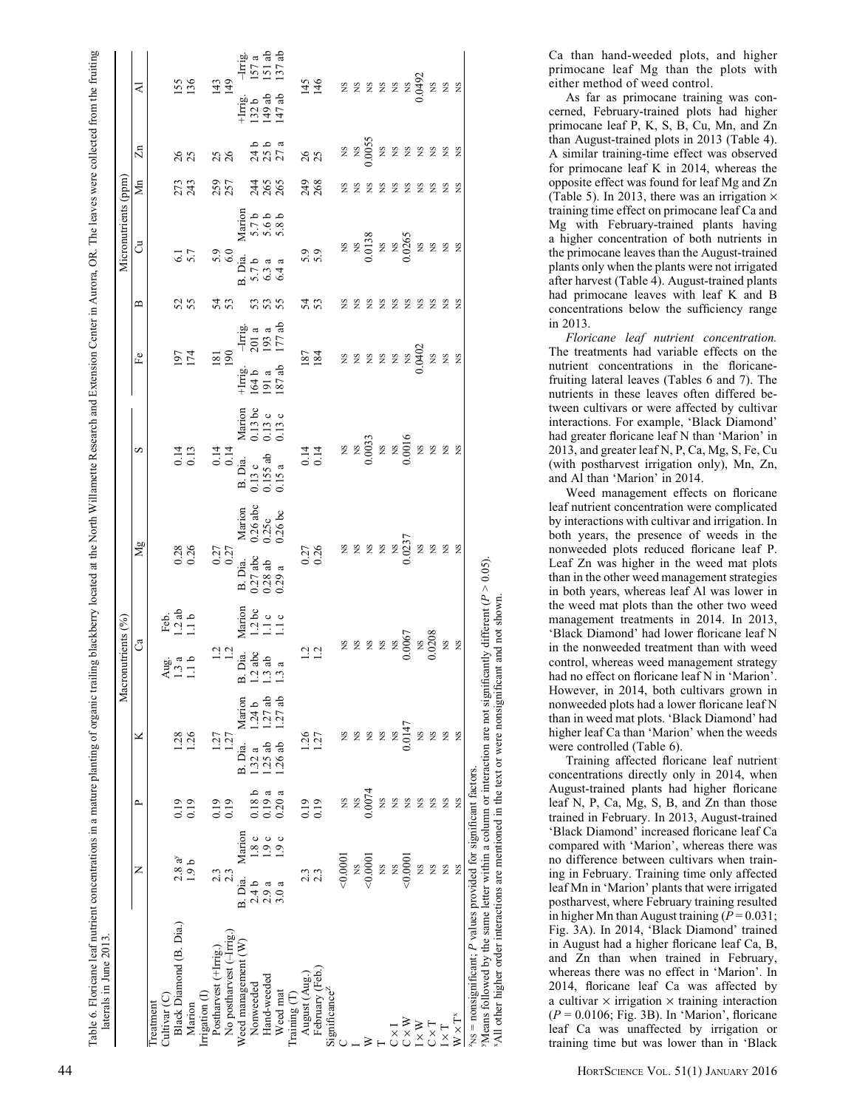| ł<br>֠<br>:<br>$\overline{\phantom{a}}$<br>ì<br>֖֖֖֖֖֧ׅ֧֧֚֚֚֚֚֚֚֚֚֚֚֚֚֚֚֚֚֚֚֚֚֚֚֚֚֚֚֚֚֚֬֝֝֓֞֝֬<br>ł<br>ł<br>i<br>i<br>į<br>ļ<br>i | ı<br>ŀ<br>i<br>Í       |
|-----------------------------------------------------------------------------------------------------------------------------------|------------------------|
| $\ddot{ }$                                                                                                                        |                        |
| į<br>ļ<br>į<br>¢<br>Ņ<br>j<br>ī                                                                                                   | <b>Continue 1</b><br>ì |

|                                                                                                               |                     |                  |                   | Macronutrients (%)                                       |                                    |                                                                                              |                                                                          |                                                        |          | Micronutrients (ppm)                          |                                   |                       |                                      |                                                                         |
|---------------------------------------------------------------------------------------------------------------|---------------------|------------------|-------------------|----------------------------------------------------------|------------------------------------|----------------------------------------------------------------------------------------------|--------------------------------------------------------------------------|--------------------------------------------------------|----------|-----------------------------------------------|-----------------------------------|-----------------------|--------------------------------------|-------------------------------------------------------------------------|
|                                                                                                               | z                   | ≏                | ×                 | ්                                                        |                                    | Мg                                                                                           | S                                                                        | Fe                                                     | മ        | ්                                             |                                   | $\sum_{n=1}^{\infty}$ | $\Xi$                                | ₹                                                                       |
| Cultivar <sub>(C)</sub><br>Treatment                                                                          |                     |                  |                   | Aug.<br>$1.3a$<br>$1.1b$                                 | Feb.<br>1.2 ab<br>1.1 b            |                                                                                              |                                                                          |                                                        |          |                                               |                                   |                       |                                      |                                                                         |
| Black Diamond (B. Dia.)                                                                                       | $2.8a^{y}$<br>1.9 b | 0.19             | 1.28              |                                                          |                                    | $0.28$<br>$0.26$                                                                             | $0.14$<br>$0.13$                                                         | 197<br>174                                             | 52       | 6.1                                           |                                   | 273                   | 26                                   | 155                                                                     |
| Marion                                                                                                        |                     | 0.19             |                   |                                                          |                                    |                                                                                              |                                                                          |                                                        |          |                                               |                                   |                       |                                      |                                                                         |
| Irrigation (I)                                                                                                |                     |                  |                   |                                                          |                                    |                                                                                              |                                                                          |                                                        |          |                                               |                                   |                       |                                      |                                                                         |
| Postharvest (+Irrig.                                                                                          | 2.3                 | 0.19             | 1.27              | $\frac{1}{2}$ $\frac{1}{2}$                              |                                    |                                                                                              | $0.14$<br>$0.14$                                                         | 181                                                    | 53       | $\frac{5.9}{6.0}$                             |                                   |                       | 25                                   | $143$<br>149                                                            |
| No postharvest (-Irrig.                                                                                       | 2.3                 | 0.19             | 1.27              |                                                          |                                    | $0.27$<br>$0.27$                                                                             |                                                                          |                                                        |          |                                               |                                   | 257                   |                                      |                                                                         |
| Weed management (W)                                                                                           | Marion<br>B. Dia.   |                  | Marion<br>B. Dia. | B. Dia.                                                  | Marion<br>1.2 bc<br>1.1 c<br>1.1 c |                                                                                              | B. Dia.                                                                  |                                                        |          | B. Dia.                                       |                                   |                       |                                      |                                                                         |
| Nonweeded                                                                                                     | 1.8c<br>2.4 b       | 0.18 b           | 1.24 b<br>1.32a   |                                                          |                                    |                                                                                              |                                                                          | $\frac{1}{164}$ b<br>191 a                             |          | $5.7b$<br>$6.3a$<br>$6.4a$                    |                                   |                       |                                      | $+$ Irig.<br>132 a<br>147 ab                                            |
| Hand-weeded                                                                                                   | 0.9c<br>2.9a        | 0.19a            | 1.27ab<br>.25ab   |                                                          |                                    |                                                                                              |                                                                          |                                                        | 53<br>53 |                                               |                                   |                       |                                      |                                                                         |
| Weed mat                                                                                                      | 1.9c<br>3.0a        | 0.20a            | 1.27ab<br>1.26ab  | $1.2 \text{ abc}$<br>$1.3 \text{ ab}$<br>$1.3 \text{ a}$ |                                    | Marion<br>0.26 abc<br>0.25 c<br>0.26 bc<br>B. Dia.<br>0.27 abc<br>0.28 ab<br>0.29 a          | Marion<br>0.13 bc<br>0.13 c<br>0.13 c<br>$0.13c$<br>$0.155ab$<br>$0.15a$ | $\frac{-1}{201}$<br>201 a<br>193 a<br>177 ab<br>187 ab | 55       |                                               | Marion<br>5.7 b<br>5.6 b<br>5.8 b | 2468                  | 1<br>1<br>1<br>2<br>2<br>2<br>2<br>2 | $\frac{\text{Im}g}{157 \text{ a}}$<br>$\frac{\text{a}}{157 \text{ ab}}$ |
| Training $(T)$                                                                                                |                     |                  |                   |                                                          |                                    |                                                                                              |                                                                          |                                                        |          |                                               |                                   |                       |                                      |                                                                         |
| August (Aug.                                                                                                  |                     |                  |                   |                                                          |                                    |                                                                                              |                                                                          |                                                        |          |                                               |                                   |                       |                                      |                                                                         |
| February (Feb.)                                                                                               |                     | $0.19$<br>$0.19$ | 1.27<br>1.27      | $\frac{1}{2}$ $\frac{2}{2}$                              |                                    | 0.27<br>0.26                                                                                 |                                                                          | $\frac{187}{184}$                                      | 53       | 5.9                                           |                                   | $\frac{249}{268}$     | 26                                   | 145                                                                     |
| Significance <sup>2</sup>                                                                                     |                     |                  |                   |                                                          |                                    |                                                                                              |                                                                          |                                                        |          |                                               |                                   |                       |                                      |                                                                         |
|                                                                                                               | 0.0001              | XS.              | SN                | $288$<br>$288$<br>$288$<br>$2000$<br>$208$<br>$200$      |                                    | <b>2237</b><br>2237<br>237                                                                   |                                                                          | 222222002<br>0.0402                                    | SN       | <b>28</b><br>20138<br>20265<br>20265<br>20265 |                                   | ΧS                    |                                      |                                                                         |
|                                                                                                               |                     | XS.              | ΧS                |                                                          |                                    |                                                                                              |                                                                          |                                                        | SN       |                                               |                                   | <sub>NS</sub>         |                                      |                                                                         |
|                                                                                                               | $\frac{NS}{0.0001}$ | 0.0074           | XS                |                                                          |                                    |                                                                                              |                                                                          |                                                        | SN       |                                               |                                   | <b>S</b>              |                                      | 2 2 2 2 2 2 3 3 2 2<br>2 3 2 2 2 2 3 3 2 2                              |
|                                                                                                               | XS                  | XS.              | XS                |                                                          |                                    |                                                                                              |                                                                          |                                                        | SN       |                                               |                                   | S                     |                                      |                                                                         |
| $\frac{1}{2}$                                                                                                 | <b>NS</b>           | <b>S</b>         | XS.               |                                                          |                                    |                                                                                              |                                                                          |                                                        | SN       |                                               |                                   | XS                    |                                      |                                                                         |
| $C \times W$                                                                                                  | 0.000               | <b>SN</b>        | 0.0147            |                                                          |                                    |                                                                                              |                                                                          |                                                        | SN       |                                               |                                   | $_{\rm NS}$           |                                      |                                                                         |
| $\times$ W                                                                                                    | XS                  | SN               | XS                |                                                          |                                    |                                                                                              |                                                                          |                                                        | S        |                                               |                                   | SN                    |                                      |                                                                         |
| $\Gamma \times C$                                                                                             | XS                  | <b>SN</b>        | XS                |                                                          |                                    | $\mathop{\mathbb{Z}}\nolimits$ $\mathop{\mathbb{Z}}\nolimits$ $\mathop{\mathbb{Z}}\nolimits$ |                                                                          |                                                        | S        |                                               |                                   | ΧS                    |                                      |                                                                         |
| $\overline{\mathcal{L}}$                                                                                      | XS                  | SN               | XS                | XS                                                       |                                    |                                                                                              |                                                                          |                                                        | SN       |                                               |                                   | E<br>S<br>S           |                                      |                                                                         |
| $W\times T^*$                                                                                                 | XS                  | <b>S</b>         | XS                | $_{\rm NS}$                                              |                                    |                                                                                              |                                                                          | XS                                                     | <b>S</b> |                                               |                                   |                       |                                      |                                                                         |
| $x_{NS}$ = nonsignificant; $P$ values provided for significant factors.                                       |                     |                  |                   |                                                          |                                    |                                                                                              |                                                                          |                                                        |          |                                               |                                   |                       |                                      |                                                                         |
| Means followed by the same letter within a column or interaction are not significantly different $(P > 0.05)$ |                     |                  |                   |                                                          |                                    |                                                                                              |                                                                          |                                                        |          |                                               |                                   |                       |                                      |                                                                         |
|                                                                                                               |                     |                  |                   |                                                          |                                    |                                                                                              |                                                                          |                                                        |          |                                               |                                   |                       |                                      |                                                                         |
| All other higher order interactions are mentioned in the text or were nonsignificant and not shown.           |                     |                  |                   |                                                          |                                    |                                                                                              |                                                                          |                                                        |          |                                               |                                   |                       |                                      |                                                                         |

Ca than hand-weeded plots, and higher primocane leaf Mg than the plots with either method of weed control.

As far as primocane training was concerned, February-trained plots had higher primocane leaf P, K, S, B, Cu, Mn, and Zn than August-trained plots in 2013 (Table 4). A similar training-time effect was observed for primocane leaf K in 2014, whereas the opposite effect was found for leaf Mg and Zn (Table 5). In 2013, there was an irrigation  $\times$ training time effect on primocane leaf Ca and Mg with February-trained plants having a higher concentration of both nutrients in the primocane leaves than the August-trained plants only when the plants were not irrigated after harvest (Table 4). August-trained plants had primocane leaves with leaf K and B concentrations below the sufficiency range in 2013.

Floricane leaf nutrient concentration. The treatments had variable effects on the nutrient concentrations in the floricanefruiting lateral leaves (Tables 6 and 7). The nutrients in these leaves often differed between cultivars or were affected by cultivar interactions. For example, 'Black Diamond' had greater floricane leaf N than 'Marion' in 2013, and greater leaf N, P, Ca, Mg, S, Fe, Cu (with postharvest irrigation only), Mn, Zn, and Al than 'Marion' in 2014.

Weed management effects on floricane leaf nutrient concentration were complicated by interactions with cultivar and irrigation. In both years, the presence of weeds in the nonweeded plots reduced floricane leaf P. Leaf Zn was higher in the weed mat plots than in the other weed management strategies in both years, whereas leaf Al was lower in the weed mat plots than the other two weed management treatments in 2014. In 2013, 'Black Diamond' had lower floricane leaf N in the nonweeded treatment than with weed control, whereas weed management strategy had no effect on floricane leaf N in 'Marion'. However, in 2014, both cultivars grown in nonweeded plots had a lower floricane leaf N than in weed mat plots. 'Black Diamond' had higher leaf Ca than 'Marion' when the weeds were controlled (Table 6).

Training affected floricane leaf nutrient concentrations directly only in 2014, when August-trained plants had higher floricane leaf N, P, Ca, Mg, S, B, and Zn than those trained in February. In 2013, August-trained 'Black Diamond' increased floricane leaf Ca compared with 'Marion', whereas there was no difference between cultivars when training in February. Training time only affected leaf Mn in 'Marion' plants that were irrigated postharvest, where February training resulted in higher Mn than August training  $(P = 0.031)$ ; Fig. 3A). In 2014, 'Black Diamond' trained in August had a higher floricane leaf Ca, B, and Zn than when trained in February, whereas there was no effect in 'Marion'. In 2014, floricane leaf Ca was affected by a cultivar  $\times$  irrigation  $\times$  training interaction ( P = 0.0106; Fig. 3B). In 'Marion', floricane leaf Ca was unaffected by irrigation or training time but was lower than in 'Black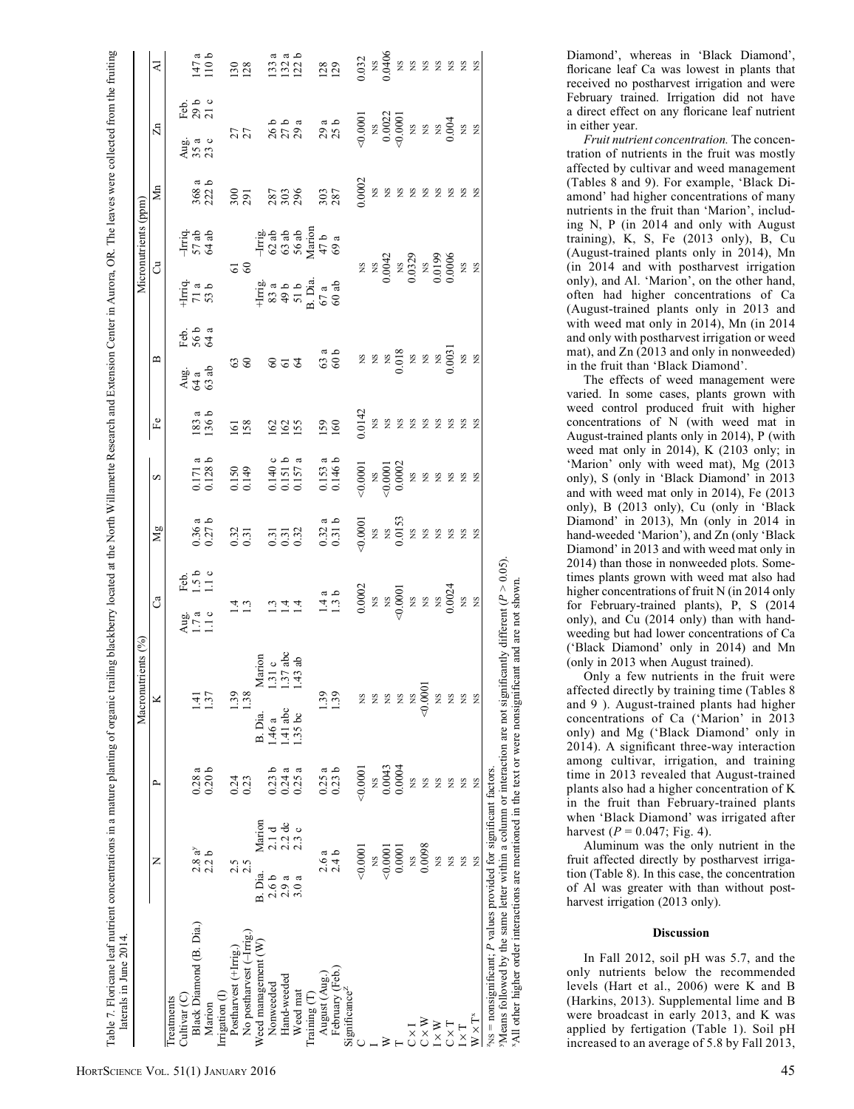|                                       |                  |                               |                   | Macronutrients (%) |                                         |                                                                                                                                                                                                                                                                               |                                                                                                     |                                                                                                                                                                                                                                                                                                                                                              |                                         |                                                                                                |                                                          | Micronutrients (ppm)                                                         |                                        |                                                                                                                                                                                                        |                                                                                       |
|---------------------------------------|------------------|-------------------------------|-------------------|--------------------|-----------------------------------------|-------------------------------------------------------------------------------------------------------------------------------------------------------------------------------------------------------------------------------------------------------------------------------|-----------------------------------------------------------------------------------------------------|--------------------------------------------------------------------------------------------------------------------------------------------------------------------------------------------------------------------------------------------------------------------------------------------------------------------------------------------------------------|-----------------------------------------|------------------------------------------------------------------------------------------------|----------------------------------------------------------|------------------------------------------------------------------------------|----------------------------------------|--------------------------------------------------------------------------------------------------------------------------------------------------------------------------------------------------------|---------------------------------------------------------------------------------------|
|                                       | z                |                               | ≏                 | ×                  |                                         | ී                                                                                                                                                                                                                                                                             | Mg                                                                                                  | S                                                                                                                                                                                                                                                                                                                                                            | $\mathbb{F}^{\mathsf{e}}$               | $\mathbf{\Omega}$                                                                              |                                                          | ්                                                                            | $\rm{Mn}$                              | $\Xi$                                                                                                                                                                                                  | $\preccurlyeq$                                                                        |
| Cultivar <sub>(C)</sub><br>Treatments |                  |                               |                   |                    |                                         |                                                                                                                                                                                                                                                                               |                                                                                                     |                                                                                                                                                                                                                                                                                                                                                              |                                         |                                                                                                |                                                          |                                                                              |                                        |                                                                                                                                                                                                        |                                                                                       |
| Black Diamond (B. Dia.)               |                  | $2.8 a^{y}$                   | 0.28a             |                    |                                         | Feb.<br>1.5 b<br>1.1 c<br>Aug.<br>$1.7a$<br>$1.1c$                                                                                                                                                                                                                            |                                                                                                     |                                                                                                                                                                                                                                                                                                                                                              |                                         | Feb.<br>56 a<br>64 a<br>$\frac{\text{Aug}}{\text{G3}}$ ab                                      | $+1$ miq.<br>71 a<br>53 b                                | $\frac{-\text{Irriq}}{57 \text{ ab}}$                                        |                                        | Feb.<br>29 b<br>21 c<br>$\frac{a}{4}$ a c<br>$\frac{a}{23}$ c                                                                                                                                          |                                                                                       |
| Marion                                | 2.2 <sub>b</sub> |                               | 0.20 <sub>b</sub> | 1.37               |                                         |                                                                                                                                                                                                                                                                               | $0.36a$<br>$0.27b$                                                                                  | $0.171a$<br>$0.128b$                                                                                                                                                                                                                                                                                                                                         | $183a$<br>$136b$                        |                                                                                                |                                                          |                                                                              | $368a$<br>$222b$                       |                                                                                                                                                                                                        | $147a$<br>110 b                                                                       |
| Irrigation (I)                        |                  |                               |                   |                    |                                         |                                                                                                                                                                                                                                                                               |                                                                                                     |                                                                                                                                                                                                                                                                                                                                                              |                                         |                                                                                                |                                                          |                                                                              |                                        |                                                                                                                                                                                                        |                                                                                       |
| Postharvest (+Irrig.)                 | 2.5              |                               | 0.24              | 1.39               |                                         |                                                                                                                                                                                                                                                                               |                                                                                                     | 0.150<br>0.149                                                                                                                                                                                                                                                                                                                                               |                                         |                                                                                                |                                                          | $\overline{6}$                                                               |                                        |                                                                                                                                                                                                        |                                                                                       |
| No postharvest (-Irrig.               | 2.5              |                               | 0.23              | 1.38               |                                         |                                                                                                                                                                                                                                                                               |                                                                                                     |                                                                                                                                                                                                                                                                                                                                                              | 161                                     | $\mathcal{C}$                                                                                  |                                                          |                                                                              |                                        |                                                                                                                                                                                                        | 130                                                                                   |
| Weed management (W)                   | B. Dia           | Marion                        |                   | B. Dia.            |                                         |                                                                                                                                                                                                                                                                               |                                                                                                     |                                                                                                                                                                                                                                                                                                                                                              |                                         |                                                                                                |                                                          |                                                                              |                                        |                                                                                                                                                                                                        |                                                                                       |
| Nonweeded                             | 2.6 <sub>b</sub> |                               | م<br>0.23         | 1.46 a             | Marion<br>1.31 c<br>1.37 abc<br>1.43 ab |                                                                                                                                                                                                                                                                               |                                                                                                     | $0.140c$<br>$0.151b$<br>$0.157a$                                                                                                                                                                                                                                                                                                                             |                                         | 222                                                                                            | $+$ Irriga<br>$33a$<br>$49b$<br>$51b$<br>$67a$<br>$69ab$ | $-\text{I}$ riga<br>$-63$ and and $-63$<br>$-63$ and $-69$<br>$-69$<br>$-69$ |                                        |                                                                                                                                                                                                        |                                                                                       |
| Hand-weeded                           | a<br>2.9         | $2.1 d$<br>$2.3 d$<br>$2.3 d$ | 0.24              | 1.41 abc           |                                         |                                                                                                                                                                                                                                                                               |                                                                                                     |                                                                                                                                                                                                                                                                                                                                                              |                                         |                                                                                                |                                                          |                                                                              |                                        |                                                                                                                                                                                                        |                                                                                       |
| Weed mat                              | 3.0a             |                               | ದ<br>0.25         | 1.35bc             |                                         |                                                                                                                                                                                                                                                                               |                                                                                                     |                                                                                                                                                                                                                                                                                                                                                              | 162<br>155                              |                                                                                                |                                                          |                                                                              |                                        |                                                                                                                                                                                                        |                                                                                       |
| Training (T)                          |                  |                               |                   |                    |                                         |                                                                                                                                                                                                                                                                               |                                                                                                     |                                                                                                                                                                                                                                                                                                                                                              |                                         |                                                                                                |                                                          |                                                                              |                                        |                                                                                                                                                                                                        |                                                                                       |
| August (Aug.                          |                  | 2.6a                          | 0.25a             | $\ddot{3}9$        |                                         |                                                                                                                                                                                                                                                                               |                                                                                                     |                                                                                                                                                                                                                                                                                                                                                              |                                         |                                                                                                |                                                          |                                                                              |                                        |                                                                                                                                                                                                        |                                                                                       |
| February (Feb.)                       | 2.4 b            |                               | 0.23 <sub>b</sub> | 1.39               |                                         | $\begin{array}{ccccccccc}\n1.1 & 1.1 & 1.1 & 0.000 & 0.000 & 0.000 & 0.000 & 0.000 & 0.000 & 0.000 & 0.000 & 0.000 & 0.000 & 0.000 & 0.000 & 0.000 & 0.000 & 0.000 & 0.000 & 0.000 & 0.000 & 0.000 & 0.000 & 0.000 & 0.000 & 0.000 & 0.000 & 0.000 & 0.000 & 0.000 & 0.000 &$ | $\begin{array}{c} 0.32 \\ 0.31 \\ 0.31 \\ 0.31 \\ 0.32 \\ 0.32 \\ 0.31 \\ 0.31 \\ 0.31 \end{array}$ | $0.153$ a<br>$0.146$ b                                                                                                                                                                                                                                                                                                                                       | <b>159</b>                              | $63a$<br>$82828$<br>$82828$<br>$82828$<br>$82820$<br>$825$<br>$825$<br>$825$<br>$825$<br>$825$ |                                                          |                                                                              | 300<br>287<br>287<br>287<br>303<br>303 | $777$<br>$777$<br>$777$<br>$777$<br>$777$<br>$777$<br>$777$<br>$777$<br>$777$<br>$777$<br>$777$<br>$777$<br>$777$<br>$777$<br>$777$<br>$777$<br>$777$<br>$777$<br>$777$<br>$777$<br>$777$<br>$777$<br> | $\begin{array}{c}\n 13.3 & 3 \\  13.2 & 12 \\  12.2 & 12 \\  13.2 & 12\n \end{array}$ |
| Significance <sup>2</sup>             |                  |                               |                   |                    |                                         |                                                                                                                                                                                                                                                                               |                                                                                                     |                                                                                                                                                                                                                                                                                                                                                              |                                         |                                                                                                |                                                          |                                                                              |                                        |                                                                                                                                                                                                        |                                                                                       |
|                                       | 00001            |                               | (0000)            |                    |                                         |                                                                                                                                                                                                                                                                               | $\frac{0.0001}{0.0153}$<br>$\frac{0.0153}{0.0153}$                                                  | $\begin{array}{l} 0.0001\\ \times \  \  \, 0.0001\\ \times \  \  \, 0.0002\\ \times \  \  \, 0.0002\\ \times \  \  \, 0.0002\\ \times \  \  \, 0.0002\\ \times \  \  \, 0.0002\\ \times \  \  \, 0.0001\\ \times \  \  \, 0.0001\\ \times \  \  \, 0.0001\\ \times \  \  \, 0.0001\\ \times \  \  \, 0.0001\\ \times \  \  \, 0.0001\\ \times \  \  \, 0.00$ | 0.0142<br>0.02 2 2 2 2 2 2 2 2 2<br>0.0 |                                                                                                |                                                          |                                                                              | 0.0002                                 |                                                                                                                                                                                                        |                                                                                       |
|                                       | $_{\rm NS}$      |                               | XS.               | XS                 |                                         |                                                                                                                                                                                                                                                                               |                                                                                                     |                                                                                                                                                                                                                                                                                                                                                              |                                         |                                                                                                |                                                          |                                                                              |                                        |                                                                                                                                                                                                        |                                                                                       |
|                                       | 0.0001           |                               | 0.0043            | SN                 |                                         |                                                                                                                                                                                                                                                                               |                                                                                                     |                                                                                                                                                                                                                                                                                                                                                              |                                         |                                                                                                |                                                          |                                                                              |                                        |                                                                                                                                                                                                        |                                                                                       |
|                                       |                  | 0.0001                        | 0.0004            | XS                 |                                         |                                                                                                                                                                                                                                                                               |                                                                                                     |                                                                                                                                                                                                                                                                                                                                                              |                                         |                                                                                                |                                                          |                                                                              |                                        |                                                                                                                                                                                                        |                                                                                       |
| $C \times I$                          |                  | 2                             | ΧS.               | XS                 |                                         |                                                                                                                                                                                                                                                                               |                                                                                                     |                                                                                                                                                                                                                                                                                                                                                              |                                         |                                                                                                |                                                          |                                                                              |                                        |                                                                                                                                                                                                        |                                                                                       |
| $\mathbf{C}\times\mathbf{W}$          |                  | 0.0098                        | XS                | 0.0001             |                                         |                                                                                                                                                                                                                                                                               |                                                                                                     |                                                                                                                                                                                                                                                                                                                                                              |                                         |                                                                                                |                                                          |                                                                              |                                        |                                                                                                                                                                                                        |                                                                                       |
| $I \times W$                          |                  | XS                            | XS                | XS                 |                                         |                                                                                                                                                                                                                                                                               |                                                                                                     |                                                                                                                                                                                                                                                                                                                                                              |                                         |                                                                                                |                                                          |                                                                              |                                        |                                                                                                                                                                                                        |                                                                                       |
| $C \times T$                          |                  | XS.                           | XS                | XS                 |                                         |                                                                                                                                                                                                                                                                               |                                                                                                     |                                                                                                                                                                                                                                                                                                                                                              |                                         |                                                                                                |                                                          |                                                                              | <b>XXXXXXXXX</b>                       |                                                                                                                                                                                                        |                                                                                       |
| $\mathbb{T}\times\mathbb{I}$          | ΧS               |                               | ΧS                | XS                 |                                         |                                                                                                                                                                                                                                                                               |                                                                                                     |                                                                                                                                                                                                                                                                                                                                                              |                                         |                                                                                                |                                                          |                                                                              |                                        |                                                                                                                                                                                                        |                                                                                       |
| $W \times T^*$                        | XS               |                               | XS                | XS                 |                                         |                                                                                                                                                                                                                                                                               |                                                                                                     |                                                                                                                                                                                                                                                                                                                                                              |                                         |                                                                                                |                                                          |                                                                              |                                        |                                                                                                                                                                                                        |                                                                                       |

'Means followed by the same letter within a column or interaction are not significantly different (P > 0.05).<br>'All other higher order interactions are mentioned in the text or were nonsignificant and are not shown. All other higher order interactions are mentioned in the text or were nonsignificant and are not shown.<br>All other higher order interactions are mentioned in the text or were nonsignificant and are not shown. Diamond', whereas in 'Black Diamond', floricane leaf Ca was lowest in plants that received no postharvest irrigation and were February trained. Irrigation did not have a direct effect on any floricane leaf nutrient in either year.

Fruit nutrient concentration. The concentration of nutrients in the fruit was mostly affected by cultivar and weed management (Tables 8 and 9). For example, 'Black Diamond' had higher concentrations of many nutrients in the fruit than 'Marion', including N, P (in 2014 and only with August training), K, S, Fe (2013 only), B, Cu (August-trained plants only in 2014), Mn (in 2014 and with postharvest irrigation only), and Al. 'Marion', on the other hand, often had higher concentrations of Ca (August-trained plants only in 2013 and with weed mat only in 2014), Mn (in 2014 and only with postharvest irrigation or weed mat), and Zn (2013 and only in nonweeded) in the fruit than 'Black Diamond'.

The effects of weed management were varied. In some cases, plants grown with weed control produced fruit with higher concentrations of N (with weed mat in August-trained plants only in 2014), P (with weed mat only in 2014), K (2103 only; in 'Marion' only with weed mat), Mg (2013 only), S (only in 'Black Diamond' in 2013 and with weed mat only in 2014), Fe (2013 only), B (2013 only), Cu (only in 'Black Diamond' in 2013), Mn (only in 2014 in hand-weeded 'Marion'), and Zn (only 'Black Diamond' in 2013 and with weed mat only in 2014) than those in nonweeded plots. Sometimes plants grown with weed mat also had higher concentrations of fruit N (in 2014 only for February-trained plants), P, S (2014 only), and Cu (2014 only) than with handweeding but had lower concentrations of Ca ('Black Diamond' only in 2014) and Mn (only in 2013 when August trained).

Only a few nutrients in the fruit were affected directly by training time (Tables 8 and 9 ). August-trained plants had higher concentrations of Ca ('Marion' in 2013 only) and Mg ('Black Diamond' only in 2014). A significant three-way interaction among cultivar, irrigation, and training time in 2013 revealed that August-trained plants also had a higher concentration of K in the fruit than February-trained plants when 'Black Diamond' was irrigated after harvest ( $P = 0.047$ ; Fig. 4).

Aluminum was the only nutrient in the fruit affected directly by postharvest irrigation (Table 8). In this case, the concentration of Al was greater with than without postharvest irrigation (2013 only).

#### Discussion

In Fall 2012, soil pH was 5.7, and the only nutrients below the recommended levels (Hart et al., 2006) were K and B (Harkins, 2013). Supplemental lime and B were broadcast in early 2013, and K was applied by fertigation (Table 1). Soil pH increased to an average of 5.8 by Fall 2013,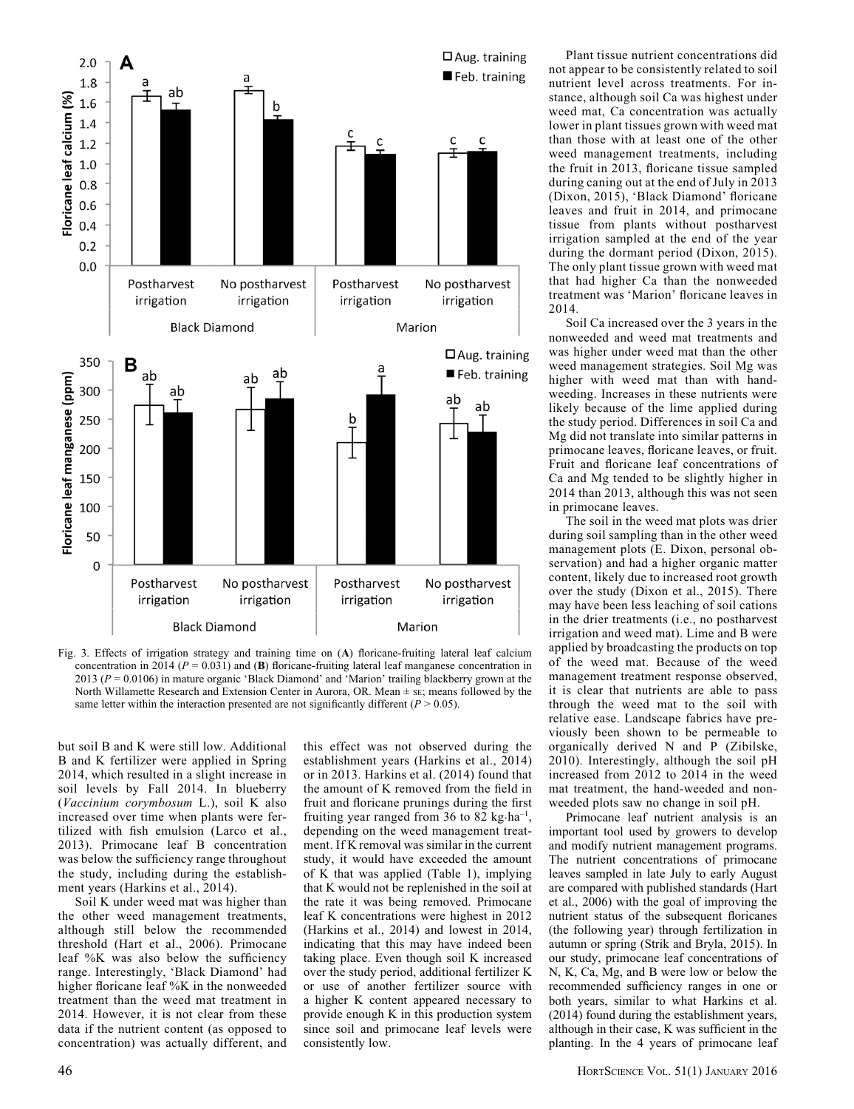

Fig. 3. Effects of irrigation strategy and training time on (A) floricane-fruiting lateral leaf calcium concentration in 2014 ( $P = 0.031$ ) and (**B**) floricane-fruiting lateral leaf manganese concentration in 2013 (P = 0.0106) in mature organic 'Black Diamond' and 'Marion' trailing blackberry grown at the North Willamette Research and Extension Center in Aurora, OR. Mean  $\pm$  sE; means followed by the same letter within the interaction presented are not significantly different ( $P > 0.05$ ).

but soil B and K were still low. Additional B and K fertilizer were applied in Spring 2014, which resulted in a slight increase in soil levels by Fall 2014. In blueberry (Vaccinium corymbosum L.), soil K also increased over time when plants were fertilized with fish emulsion (Larco et al., 2013). Primocane leaf B concentration was below the sufficiency range throughout the study, including during the establishment years (Harkins et al., 2014).

Soil K under weed mat was higher than the other weed management treatments, although still below the recommended threshold (Hart et al., 2006). Primocane leaf %K was also below the sufficiency range. Interestingly, 'Black Diamond' had higher floricane leaf %K in the nonweeded treatment than the weed mat treatment in 2014. However, it is not clear from these data if the nutrient content (as opposed to concentration) was actually different, and this effect was not observed during the establishment years (Harkins et al., 2014) or in 2013. Harkins et al. (2014) found that the amount of K removed from the field in fruit and floricane prunings during the first fruiting year ranged from 36 to 82 kg $\cdot$ ha<sup>-1</sup>, depending on the weed management treatment. If K removal was similar in the current study, it would have exceeded the amount of K that was applied (Table 1), implying that K would not be replenished in the soil at the rate it was being removed. Primocane leaf K concentrations were highest in 2012 (Harkins et al., 2014) and lowest in 2014, indicating that this may have indeed been taking place. Even though soil K increased over the study period, additional fertilizer K or use of another fertilizer source with a higher K content appeared necessary to provide enough K in this production system since soil and primocane leaf levels were consistently low.

Plant tissue nutrient concentrations did not appear to be consistently related to soil nutrient level across treatments. For instance, although soil Ca was highest under weed mat, Ca concentration was actually lower in plant tissues grown with weed mat than those with at least one of the other weed management treatments, including the fruit in 2013, floricane tissue sampled during caning out at the end of July in 2013 (Dixon, 2015), 'Black Diamond' floricane leaves and fruit in 2014, and primocane tissue from plants without postharvest irrigation sampled at the end of the year during the dormant period (Dixon, 2015). The only plant tissue grown with weed mat that had higher Ca than the nonweeded treatment was 'Marion' floricane leaves in 2014.

Soil Ca increased over the 3 years in the nonweeded and weed mat treatments and was higher under weed mat than the other weed management strategies. Soil Mg was higher with weed mat than with handweeding. Increases in these nutrients were likely because of the lime applied during the study period. Differences in soil Ca and Mg did not translate into similar patterns in primocane leaves, floricane leaves, or fruit. Fruit and floricane leaf concentrations of Ca and Mg tended to be slightly higher in 2014 than 2013, although this was not seen in primocane leaves.

The soil in the weed mat plots was drier during soil sampling than in the other weed management plots (E. Dixon, personal observation) and had a higher organic matter content, likely due to increased root growth over the study (Dixon et al., 2015). There may have been less leaching of soil cations in the drier treatments (i.e., no postharvest irrigation and weed mat). Lime and B were applied by broadcasting the products on top of the weed mat. Because of the weed management treatment response observed, it is clear that nutrients are able to pass through the weed mat to the soil with relative ease. Landscape fabrics have previously been shown to be permeable to organically derived N and P (Zibilske, 2010). Interestingly, although the soil pH increased from 2012 to 2014 in the weed mat treatment, the hand-weeded and nonweeded plots saw no change in soil pH.

Primocane leaf nutrient analysis is an important tool used by growers to develop and modify nutrient management programs. The nutrient concentrations of primocane leaves sampled in late July to early August are compared with published standards (Hart et al., 2006) with the goal of improving the nutrient status of the subsequent floricanes (the following year) through fertilization in autumn or spring (Strik and Bryla, 2015). In our study, primocane leaf concentrations of N, K, Ca, Mg, and B were low or below the recommended sufficiency ranges in one or both years, similar to what Harkins et al. (2014) found during the establishment years, although in their case, K was sufficient in the planting. In the 4 years of primocane leaf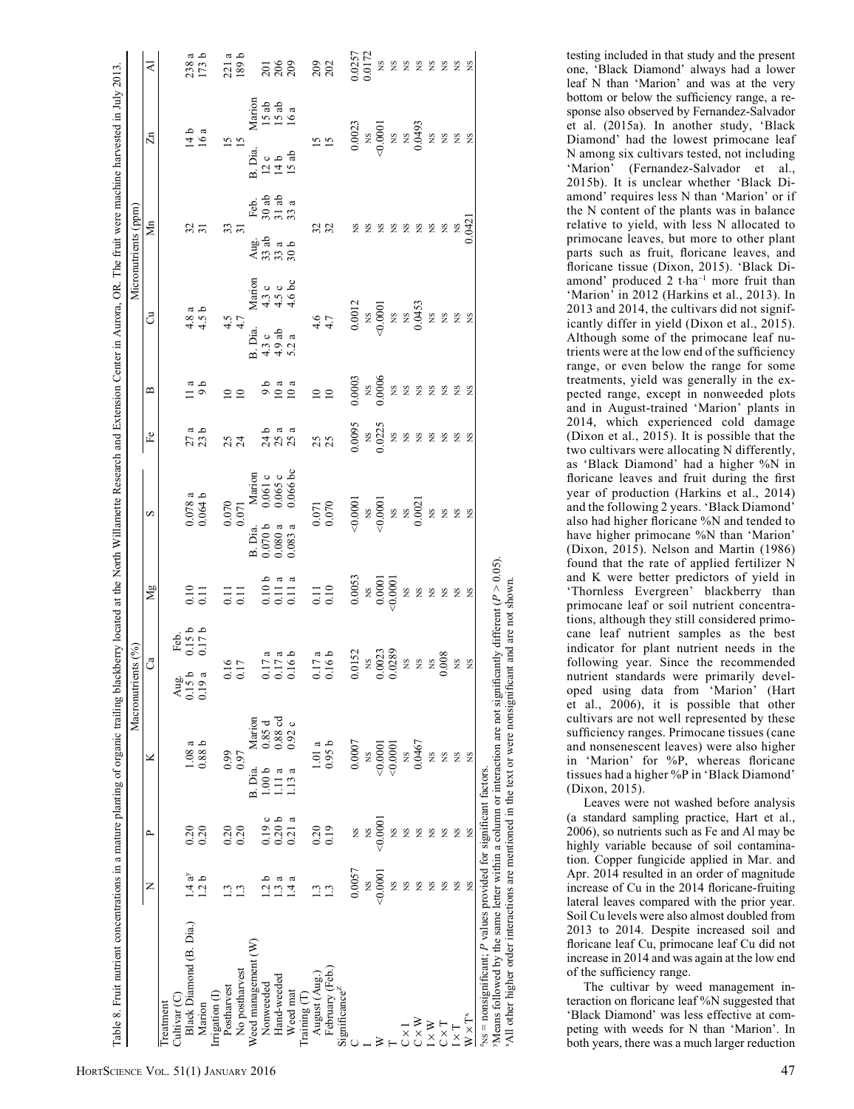|                                                                                                                                                                                                                                                                                                   |                     |                   |                         |                       | Macronutrients (%)                                                                                                 |                          |                                             |                                                                                                                                                   |                                      |                                                     |                                                                                                                                                                                                                                                                                                                                                           | Micronutrients (ppm)                                  |                                                                                                                                                                                                                                                                                                                                                                                                                                                                                         |                       |
|---------------------------------------------------------------------------------------------------------------------------------------------------------------------------------------------------------------------------------------------------------------------------------------------------|---------------------|-------------------|-------------------------|-----------------------|--------------------------------------------------------------------------------------------------------------------|--------------------------|---------------------------------------------|---------------------------------------------------------------------------------------------------------------------------------------------------|--------------------------------------|-----------------------------------------------------|-----------------------------------------------------------------------------------------------------------------------------------------------------------------------------------------------------------------------------------------------------------------------------------------------------------------------------------------------------------|-------------------------------------------------------|-----------------------------------------------------------------------------------------------------------------------------------------------------------------------------------------------------------------------------------------------------------------------------------------------------------------------------------------------------------------------------------------------------------------------------------------------------------------------------------------|-----------------------|
|                                                                                                                                                                                                                                                                                                   | z                   | $\mathbf{r}$      | ×                       |                       | $C^{\mathbf{a}}$                                                                                                   |                          | Mg                                          | S                                                                                                                                                 | $\mathbf{F}$ e                       | $\mathbf{\Omega}$                                   | ්                                                                                                                                                                                                                                                                                                                                                         | Мn                                                    | $\overline{\mathbb{Z}}$                                                                                                                                                                                                                                                                                                                                                                                                                                                                 | K                     |
| Cultivar <sub>(C)</sub><br>Treatment                                                                                                                                                                                                                                                              |                     |                   |                         |                       |                                                                                                                    |                          |                                             |                                                                                                                                                   |                                      |                                                     |                                                                                                                                                                                                                                                                                                                                                           |                                                       |                                                                                                                                                                                                                                                                                                                                                                                                                                                                                         |                       |
| Black Diamond (B. Dia.)                                                                                                                                                                                                                                                                           | 1.4a <sup>y</sup>   |                   | 1.08a                   |                       | $\frac{\text{Aug}}{0.15}$ b<br>0.15 b                                                                              | Feb.<br>0.15 b<br>0.17 b |                                             |                                                                                                                                                   |                                      |                                                     |                                                                                                                                                                                                                                                                                                                                                           |                                                       |                                                                                                                                                                                                                                                                                                                                                                                                                                                                                         |                       |
| Irrigation (I)<br>Marion                                                                                                                                                                                                                                                                          | 1.2 <sub>b</sub>    | $\frac{20}{0.20}$ | 0.88 b                  |                       |                                                                                                                    |                          | $\begin{array}{c} 0.10 \\ 0.11 \end{array}$ | $0.078a$<br>$0.064b$                                                                                                                              | $27a$<br>$23b$                       | $\begin{smallmatrix} a \\ 9 \\ b \end{smallmatrix}$ | $4.8a$<br>$4.5b$                                                                                                                                                                                                                                                                                                                                          | $\frac{32}{31}$                                       | $\frac{14}{16}a$                                                                                                                                                                                                                                                                                                                                                                                                                                                                        | م <del>ه</del><br>238 |
| Postharvest                                                                                                                                                                                                                                                                                       | 1.3                 | 0.20              | 0.99                    |                       |                                                                                                                    |                          |                                             | 0.070                                                                                                                                             |                                      |                                                     |                                                                                                                                                                                                                                                                                                                                                           |                                                       |                                                                                                                                                                                                                                                                                                                                                                                                                                                                                         | a                     |
| No postharvest                                                                                                                                                                                                                                                                                    | 1.3                 | 0.20              | 0.97                    |                       | $\frac{0.16}{0.17}$                                                                                                |                          | $\frac{11}{0.11}$                           | 0.071                                                                                                                                             | 234                                  | $\frac{1}{2}$                                       | $4.5 + 4.7$                                                                                                                                                                                                                                                                                                                                               | 33                                                    | $15 \overline{)}$                                                                                                                                                                                                                                                                                                                                                                                                                                                                       | م<br>221              |
| Weed management (W)                                                                                                                                                                                                                                                                               |                     |                   | B. Dia.                 | Marion                |                                                                                                                    |                          |                                             | B. Dia.                                                                                                                                           |                                      |                                                     | B. Dia.                                                                                                                                                                                                                                                                                                                                                   |                                                       | B. Dia.                                                                                                                                                                                                                                                                                                                                                                                                                                                                                 |                       |
| Nonweeded                                                                                                                                                                                                                                                                                         | 1.2 <sub>b</sub>    | ပ<br>0.19         | 1.00 <sub>b</sub>       |                       |                                                                                                                    |                          |                                             | Marion<br>$0.061c$<br>$0.065c$<br>0.070 b                                                                                                         |                                      |                                                     | Marion<br>4.3 c<br>4.5 c<br>4.6 bc                                                                                                                                                                                                                                                                                                                        | E 3 3 3<br>E 3 3 3<br>E 3 3 3<br>aja<br>43330<br>4338 | Marion<br>15 ab<br>15 ab<br>16 a                                                                                                                                                                                                                                                                                                                                                                                                                                                        |                       |
| Hand-weeded                                                                                                                                                                                                                                                                                       | ದ<br>$\ddot{c}$     | 0.20 <sub>b</sub> | $\mathfrak{a}$<br>$\Xi$ | $0.85 d$<br>$0.88 cd$ |                                                                                                                    |                          |                                             | $0.080\,\mathrm{a}$                                                                                                                               | baa<br>A S S<br>A S S                |                                                     | $4.3 c$<br>$4.9 ab$<br>$5.2 a$                                                                                                                                                                                                                                                                                                                            |                                                       | 0<br>145<br>15                                                                                                                                                                                                                                                                                                                                                                                                                                                                          |                       |
| Weed mat                                                                                                                                                                                                                                                                                          | ದ<br>$\overline{4}$ | a<br>0.21:        | 1.13a                   | 0.92c                 | $\begin{array}{c} 0.17 \text{ a} \\ 0.17 \text{ a} \\ 0.16 \text{ b} \end{array}$                                  |                          | $0.10 b$<br>$0.11 a$<br>$0.11 a$            | $0.066$ bc<br>0.083a                                                                                                                              |                                      | $0.3a$<br>$0.01a$                                   |                                                                                                                                                                                                                                                                                                                                                           |                                                       |                                                                                                                                                                                                                                                                                                                                                                                                                                                                                         | $\frac{205}{200}$     |
| Training (T                                                                                                                                                                                                                                                                                       |                     |                   |                         |                       |                                                                                                                    |                          |                                             |                                                                                                                                                   |                                      |                                                     |                                                                                                                                                                                                                                                                                                                                                           |                                                       |                                                                                                                                                                                                                                                                                                                                                                                                                                                                                         |                       |
| August (Aug.                                                                                                                                                                                                                                                                                      | $\mathbf{r}$        | 0.20              | 1.01                    | a                     |                                                                                                                    |                          |                                             |                                                                                                                                                   |                                      |                                                     |                                                                                                                                                                                                                                                                                                                                                           |                                                       |                                                                                                                                                                                                                                                                                                                                                                                                                                                                                         |                       |
| February (Feb.)                                                                                                                                                                                                                                                                                   | 1.3                 | 0.19              | 0.95b                   |                       | $0.17a$<br>$0.16b$                                                                                                 |                          | $\begin{array}{c} 0.11 \\ 0.10 \end{array}$ | $\!\!\!\begin{array}{c} 0.071 \\ 0.070 \end{array}$                                                                                               | 25                                   | $\frac{10}{10}$                                     | $\begin{array}{cc} 4.6 \\ 4.7 \\ 0.0012 \\ 0.0000 \\ \textrm{0.0000} \\ 0.0453 \\ 0.0453 \\ \textrm{x} \times 2.8 \\ 0.0433 \\ \textrm{y} \times 2.8 \\ 0.0433 \\ \textrm{y} \times 2.8 \\ 0.0433 \\ \textrm{y} \times 2.8 \\ 0.0433 \\ \textrm{y} \times 2.8 \\ 0.0433 \\ \textrm{y} \times 2.8 \\ 0.0433 \\ \textrm{y} \times 2.8 \\ 0.0433 \\ \textrm$ | 32                                                    | $\frac{5}{5}$                                                                                                                                                                                                                                                                                                                                                                                                                                                                           | 202                   |
| Significance <sup>2</sup>                                                                                                                                                                                                                                                                         |                     |                   |                         |                       |                                                                                                                    |                          |                                             |                                                                                                                                                   |                                      |                                                     |                                                                                                                                                                                                                                                                                                                                                           |                                                       |                                                                                                                                                                                                                                                                                                                                                                                                                                                                                         |                       |
|                                                                                                                                                                                                                                                                                                   | 0.0057              | SN                | 0.0007                  |                       | 0.0152                                                                                                             |                          | 0.0053                                      | $\begin{array}{c} <\!\! 0.0001\\ \times\!\! 0.0001\\ \times\!\! 0.0001\\ \times\!\! 0.0021\\ \times\!\! 0.0021\\ \times\!\! 0.0021\\ \end{array}$ | $0.0095$<br>$^{NS}_{N5}$<br>$0.0225$ | $0.0003$<br>NS<br>$0.0006$                          |                                                                                                                                                                                                                                                                                                                                                           | ΧS                                                    | $\begin{array}{c} 0.0023 \\ \times 8 \\ \times 0.0001 \\ \times 8 \\ \times 8 \\ \times 93 \\ \times 93 \\ \times 93 \\ \times 93 \\ \times 93 \\ \times 93 \\ \times 93 \\ \times 93 \\ \times 93 \\ \times 93 \\ \times 93 \\ \times 93 \\ \times 93 \\ \times 93 \\ \times 93 \\ \times 93 \\ \times 93 \\ \times 93 \\ \times 93 \\ \times 93 \\ \times 93 \\ \times 93 \\ \times 93 \\ \times 93 \\ \times 93 \\ \times 93 \\ \times 93 \\ \times 93 \\ \times 93 \\ \times 93 \\$ | 0.0257<br>0.0172      |
|                                                                                                                                                                                                                                                                                                   | XS                  | Š                 | XS                      |                       |                                                                                                                    |                          |                                             |                                                                                                                                                   |                                      |                                                     |                                                                                                                                                                                                                                                                                                                                                           | $_{\rm NS}$                                           |                                                                                                                                                                                                                                                                                                                                                                                                                                                                                         |                       |
|                                                                                                                                                                                                                                                                                                   | 0.000               | 0.000             | 0.000                   |                       |                                                                                                                    |                          |                                             |                                                                                                                                                   |                                      |                                                     |                                                                                                                                                                                                                                                                                                                                                           | ΧS                                                    |                                                                                                                                                                                                                                                                                                                                                                                                                                                                                         |                       |
|                                                                                                                                                                                                                                                                                                   | Σλ                  | S                 | 0.0001                  |                       |                                                                                                                    |                          | $^{188}_{0.0001}$                           |                                                                                                                                                   |                                      |                                                     |                                                                                                                                                                                                                                                                                                                                                           | <b>222222</b>                                         |                                                                                                                                                                                                                                                                                                                                                                                                                                                                                         |                       |
| X                                                                                                                                                                                                                                                                                                 | SN                  | S                 | XS                      |                       |                                                                                                                    |                          |                                             |                                                                                                                                                   |                                      |                                                     |                                                                                                                                                                                                                                                                                                                                                           |                                                       |                                                                                                                                                                                                                                                                                                                                                                                                                                                                                         |                       |
| $\cong$ $\times$ $\vee$                                                                                                                                                                                                                                                                           | SN                  | <b>S</b>          | 0.0467                  |                       |                                                                                                                    |                          |                                             |                                                                                                                                                   |                                      |                                                     |                                                                                                                                                                                                                                                                                                                                                           |                                                       |                                                                                                                                                                                                                                                                                                                                                                                                                                                                                         |                       |
| $\times$ W                                                                                                                                                                                                                                                                                        | SN                  | <b>S</b>          | XS                      |                       |                                                                                                                    |                          |                                             |                                                                                                                                                   |                                      |                                                     |                                                                                                                                                                                                                                                                                                                                                           |                                                       |                                                                                                                                                                                                                                                                                                                                                                                                                                                                                         |                       |
| $T \times T$                                                                                                                                                                                                                                                                                      | SN                  | <b>S</b>          | XS                      |                       | $\begin{array}{c} \tt NS \\ 0.0023 \\ \tt 0.0289 \\ \tt NS \\ \tt NS \\ \tt NS \\ \tt NS \\ \tt 0.008 \end{array}$ |                          |                                             |                                                                                                                                                   | <b>22222222</b>                      | 2222222                                             |                                                                                                                                                                                                                                                                                                                                                           |                                                       |                                                                                                                                                                                                                                                                                                                                                                                                                                                                                         | 22222222              |
|                                                                                                                                                                                                                                                                                                   | <b>NS</b>           | <b>S</b>          | XS                      |                       | $_{\rm NS}$                                                                                                        |                          |                                             |                                                                                                                                                   |                                      |                                                     |                                                                                                                                                                                                                                                                                                                                                           | $^{15}$ M <sub>3</sub>                                |                                                                                                                                                                                                                                                                                                                                                                                                                                                                                         |                       |
| $W \times T^*$                                                                                                                                                                                                                                                                                    | Ş                   | <b>SN</b>         | XS                      |                       | $_{\rm NS}$                                                                                                        |                          |                                             |                                                                                                                                                   |                                      |                                                     |                                                                                                                                                                                                                                                                                                                                                           |                                                       |                                                                                                                                                                                                                                                                                                                                                                                                                                                                                         |                       |
| Means followed by the same letter within a column or interaction are not significantly different $(P > 0.05)$ .<br>All other higher order interactions are mentioned in the text or were nonsignificant and are not shown.<br>$NS$ = nonsignificant; $P$ values provided for significant factors. |                     |                   |                         |                       |                                                                                                                    |                          |                                             |                                                                                                                                                   |                                      |                                                     |                                                                                                                                                                                                                                                                                                                                                           |                                                       |                                                                                                                                                                                                                                                                                                                                                                                                                                                                                         |                       |
|                                                                                                                                                                                                                                                                                                   |                     |                   |                         |                       |                                                                                                                    |                          |                                             |                                                                                                                                                   |                                      |                                                     |                                                                                                                                                                                                                                                                                                                                                           |                                                       |                                                                                                                                                                                                                                                                                                                                                                                                                                                                                         |                       |

one, 'Black Diamond' always had a lower leaf N than 'Marion' and was at the very bottom or below the sufficiency range, a response also observed by Fernandez-Salvador et al. (2015a). In another study, 'Black Diamond' had the lowest primocane leaf N among six cultivars tested, not including 'Marion' (Fernandez-Salvador et al., 2015b). It is unclear whether 'Black Diamond' requires less N than 'Marion' or if the N content of the plants was in balance relative to yield, with less N allocated to primocane leaves, but more to other plant parts such as fruit, floricane leaves, and floricane tissue (Dixon, 2015). 'Black Diamond' produced 2 t·ha–1 more fruit than 'Marion' in 2012 (Harkins et al., 2013). In 2013 and 2014, the cultivars did not significantly differ in yield (Dixon et al., 2015). Although some of the primocane leaf nutrients were at the low end of the sufficiency range, or even below the range for some treatments, yield was generally in the expected range, except in nonweeded plots and in August-trained 'Marion' plants in 2014, which experienced cold damage (Dixon et al., 2015). It is possible that the two cultivars were allocating N differently, as 'Black Diamond' had a higher %N in floricane leaves and fruit during the first year of production (Harkins et al., 2014) and the following 2 years. 'Black Diamond' also had higher floricane %N and tended to have higher primocane %N than 'Marion' (Dixon, 2015). Nelson and Martin (1986) found that the rate of applied fertilizer N and K were better predictors of yield in 'Thornless Evergreen' blackberry than primocane leaf or soil nutrient concentrations, although they still considered primocane leaf nutrient samples as the best indicator for plant nutrient needs in the following year. Since the recommended nutrient standards were primarily developed using data from 'Marion' (Hart et al., 2006), it is possible that other cultivars are not well represented by these sufficiency ranges. Primocane tissues (cane and nonsenescent leaves) were also higher in 'Marion' for %P, whereas floricane tissues had a higher %P in 'Black Diamond' (Dixon, 2015).

testing included in that study and the present

Leaves were not washed before analysis (a standard sampling practice, Hart et al., 2006), so nutrients such as Fe and Al may be highly variable because of soil contamination. Copper fungicide applied in Mar. and Apr. 2014 resulted in an order of magnitude increase of Cu in the 2014 floricane-fruiting lateral leaves compared with the prior year. Soil Cu levels were also almost doubled from 2013 to 2014. Despite increased soil and floricane leaf Cu, primocane leaf Cu did not increase in 2014 and was again at the low end of the sufficiency range.

The cultivar by weed management interaction on floricane leaf %N suggested that 'Black Diamond' was less effective at competing with weeds for N than 'Marion'. In both years, there was a much larger reduction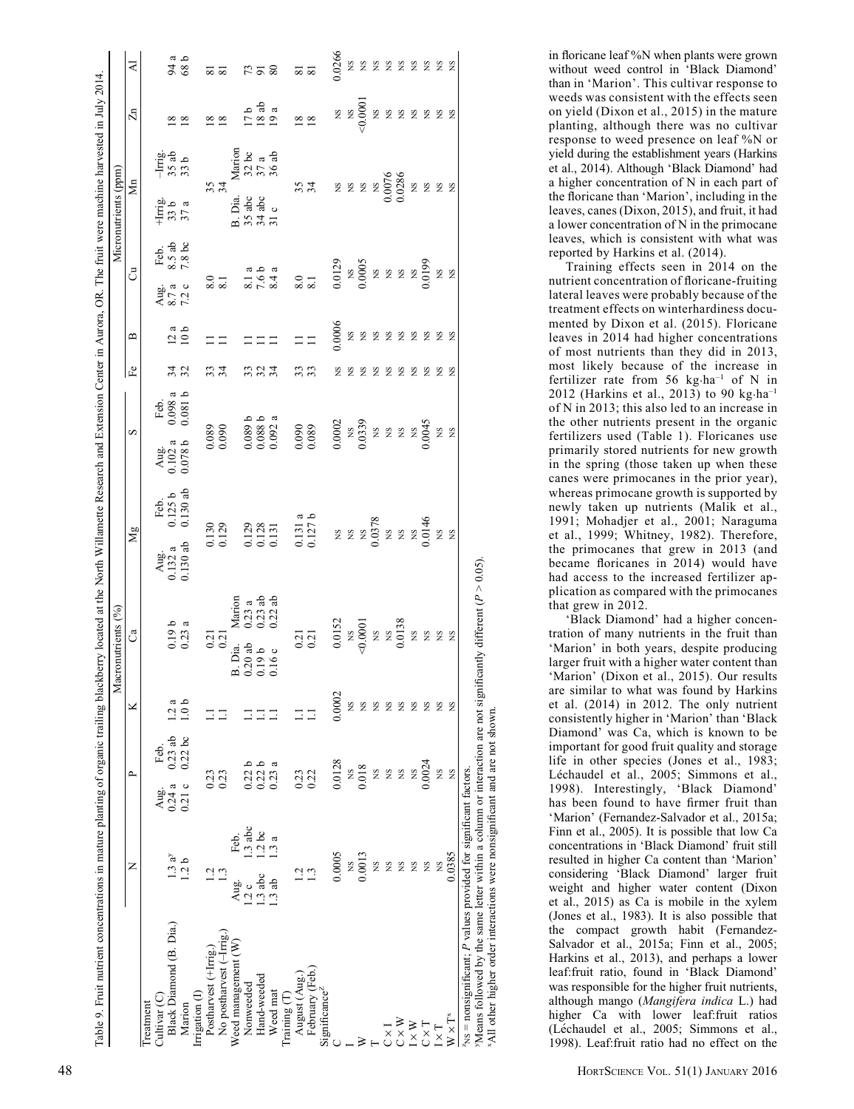|                                                                |                   |               |                   |                  | Macronutrients (%)                                                                                                                                                                                                                                                                                                                                                                                                                                                                       |                                              |                                                                                                                                                                                                                                             |                             |                                               |                                                                                                                 |                |                                   |                                                                                |                          | Micronutrients (ppm)                                                          |                                        |                                                                                                                                                                                                                                                                                                               |                       |
|----------------------------------------------------------------|-------------------|---------------|-------------------|------------------|------------------------------------------------------------------------------------------------------------------------------------------------------------------------------------------------------------------------------------------------------------------------------------------------------------------------------------------------------------------------------------------------------------------------------------------------------------------------------------------|----------------------------------------------|---------------------------------------------------------------------------------------------------------------------------------------------------------------------------------------------------------------------------------------------|-----------------------------|-----------------------------------------------|-----------------------------------------------------------------------------------------------------------------|----------------|-----------------------------------|--------------------------------------------------------------------------------|--------------------------|-------------------------------------------------------------------------------|----------------------------------------|---------------------------------------------------------------------------------------------------------------------------------------------------------------------------------------------------------------------------------------------------------------------------------------------------------------|-----------------------|
|                                                                | z                 | ≏             |                   | ×                | ී                                                                                                                                                                                                                                                                                                                                                                                                                                                                                        |                                              | Mg                                                                                                                                                                                                                                          |                             |                                               | S                                                                                                               | F <sub>e</sub> | $\mathbf{\underline{\mathsf{m}}}$ | ්                                                                              |                          | $\sum_{n=1}^{\infty}$                                                         |                                        | $\mathbb{Z}n$                                                                                                                                                                                                                                                                                                 | ₹                     |
| Black Diamond (B. Dia.)<br>Cultivar <sub>(C)</sub><br>reatment | 1.3a <sup>y</sup> | 0.24a<br>Aug. | $0.23$ ab<br>Feb. | 2a               |                                                                                                                                                                                                                                                                                                                                                                                                                                                                                          |                                              | Aug.<br>0.132 a<br>0.130 ab                                                                                                                                                                                                                 | Feb.<br>0.125 b<br>0.130 ab | Aug.<br>0.102 a<br>0.078 b                    | Feb.<br>0.098 a<br>0.081 b                                                                                      |                |                                   | Aug.<br>8.7 a<br>7.2 c                                                         | Feb.<br>8.5 ab<br>7.8 bc | $+$ Irrig.<br>33 b<br>37 a                                                    | $\frac{-\text{Im} g}{35 \text{ ab}}$   |                                                                                                                                                                                                                                                                                                               |                       |
| Marion                                                         | 1.2 <sub>b</sub>  | 0.21c         | 0.22bc            | 1.0 <sub>b</sub> | $0.19 b$<br>$0.23 a$                                                                                                                                                                                                                                                                                                                                                                                                                                                                     |                                              |                                                                                                                                                                                                                                             |                             |                                               |                                                                                                                 | 32             | $\frac{a}{10}$                    |                                                                                |                          |                                                                               |                                        | $\frac{8}{18}$                                                                                                                                                                                                                                                                                                | $\frac{94}{8}a$       |
| Irrigation (I)                                                 |                   |               |                   |                  |                                                                                                                                                                                                                                                                                                                                                                                                                                                                                          |                                              |                                                                                                                                                                                                                                             |                             |                                               |                                                                                                                 |                |                                   |                                                                                |                          |                                                                               |                                        |                                                                                                                                                                                                                                                                                                               |                       |
| No postharvest (-Irrig.<br>Postharvest $(+\text{Irrig.})$      | 1.2<br>1.3        | 0.23<br>0.23  |                   |                  | $\frac{0.21}{0.21}$                                                                                                                                                                                                                                                                                                                                                                                                                                                                      |                                              | 0.130<br>0.129                                                                                                                                                                                                                              |                             | $0.089$<br>$0.090$                            |                                                                                                                 | 34             |                                   | $\begin{smallmatrix}8.0\\8.1\end{smallmatrix}$                                 |                          | 334                                                                           |                                        | $\frac{8}{18}$                                                                                                                                                                                                                                                                                                | ವ ಪ                   |
| Weed management (W)                                            | Feb.<br>Aug.      |               |                   |                  | B. Dia.                                                                                                                                                                                                                                                                                                                                                                                                                                                                                  |                                              |                                                                                                                                                                                                                                             |                             |                                               |                                                                                                                 |                |                                   |                                                                                |                          | B. Dia.                                                                       |                                        |                                                                                                                                                                                                                                                                                                               |                       |
| Nonweeded                                                      | 1.3abc<br>1.2c    | 0.22 b        |                   |                  |                                                                                                                                                                                                                                                                                                                                                                                                                                                                                          | Marion<br>$0.23$ a<br>$0.23$ ab<br>$0.22$ ab |                                                                                                                                                                                                                                             |                             |                                               |                                                                                                                 | 33             |                                   |                                                                                |                          |                                                                               | Marion<br>$32 bc$<br>$37 a$<br>$36 ab$ |                                                                                                                                                                                                                                                                                                               |                       |
| Hand-weeded                                                    | 1.2bc<br>1.3abc   | 0.22 b        |                   | Ξ                | $0.20$ ab<br>$0.19$ b                                                                                                                                                                                                                                                                                                                                                                                                                                                                    |                                              |                                                                                                                                                                                                                                             |                             |                                               |                                                                                                                 | 334            |                                   |                                                                                |                          | $\begin{array}{l} 35 \text{ abc}\\ 34 \text{ abc}\\ 31 \text{ c} \end{array}$ |                                        | $\frac{17}{18}$ a a<br>19 a                                                                                                                                                                                                                                                                                   | 738                   |
| Weed mat                                                       | 3a<br>1.3ab       | 0.23:         | ದ                 |                  | 0.16c                                                                                                                                                                                                                                                                                                                                                                                                                                                                                    |                                              | $\begin{array}{c} 0.129 \\ 0.131 \\ 0.131 \end{array}$                                                                                                                                                                                      |                             |                                               | $0.089 b$<br>$0.088 b$<br>$0.092 a$                                                                             |                |                                   | $\begin{array}{c} 8.1 \text{ a} \\ 7.6 \text{ b} \\ 8.4 \text{ a} \end{array}$ |                          |                                                                               |                                        |                                                                                                                                                                                                                                                                                                               |                       |
| Training $(\Gamma)$                                            |                   |               |                   |                  |                                                                                                                                                                                                                                                                                                                                                                                                                                                                                          |                                              |                                                                                                                                                                                                                                             |                             |                                               |                                                                                                                 |                |                                   |                                                                                |                          |                                                                               |                                        |                                                                                                                                                                                                                                                                                                               |                       |
| August (Aug.)                                                  |                   | 0.23          |                   |                  |                                                                                                                                                                                                                                                                                                                                                                                                                                                                                          |                                              |                                                                                                                                                                                                                                             |                             |                                               |                                                                                                                 | 33             | $\equiv$ $\equiv$                 | $\frac{6}{8}$                                                                  |                          | 334                                                                           |                                        | $\frac{18}{18}$                                                                                                                                                                                                                                                                                               | $\overline{\text{}}8$ |
| February (Feb.                                                 | $\overline{1}$    | 0.22          |                   |                  | $\frac{0.21}{0.21}$                                                                                                                                                                                                                                                                                                                                                                                                                                                                      |                                              | $0.131a$<br>$0.127b$                                                                                                                                                                                                                        |                             | $\begin{array}{c} 0.090 \\ 0.089 \end{array}$ |                                                                                                                 |                |                                   |                                                                                |                          |                                                                               |                                        |                                                                                                                                                                                                                                                                                                               |                       |
| Significance <sup>2</sup>                                      |                   |               |                   |                  |                                                                                                                                                                                                                                                                                                                                                                                                                                                                                          |                                              |                                                                                                                                                                                                                                             |                             |                                               |                                                                                                                 |                |                                   |                                                                                |                          |                                                                               |                                        |                                                                                                                                                                                                                                                                                                               |                       |
|                                                                | 0.0005            | 0.0128        |                   | 0.0002           | $\begin{array}{r} 0.0152 \\ \times 8 \\ \times 0.0001 \\ \times 8 \\ \times 8 \\ \times 10013 \\ \times 9 \\ \times 9 \\ \times 9 \\ \times 9 \\ \times 10 \\ \times 10 \\ \times 10 \\ \times 10 \\ \times 10 \\ \times 10 \\ \times 10 \\ \times 10 \\ \times 10 \\ \times 10 \\ \times 10 \\ \times 10 \\ \times 10 \\ \times 10 \\ \times 10 \\ \times 10 \\ \times 10 \\ \times 10 \\ \times 10 \\ \times 10 \\ \times 10 \\ \times 10 \\ \times 10 \\ \times 10 \\ \times 10 \\ \$ |                                              |                                                                                                                                                                                                                                             |                             |                                               | $\begin{array}{c} 0.0002 \\ \text{NS} \\ 0.0339 \\ \text{NS} \\ \text{NS} \\ \text{NS} \\ 0.045 \\ \end{array}$ | SN             | 0.0006                            |                                                                                |                          |                                                                               |                                        |                                                                                                                                                                                                                                                                                                               | 0.0266                |
|                                                                | XS                | XS            |                   | <b>S</b>         |                                                                                                                                                                                                                                                                                                                                                                                                                                                                                          |                                              |                                                                                                                                                                                                                                             |                             |                                               |                                                                                                                 | SN             |                                   |                                                                                |                          |                                                                               |                                        |                                                                                                                                                                                                                                                                                                               | <b>S</b> S            |
|                                                                | 0.0013            | 0.018         |                   | SN               |                                                                                                                                                                                                                                                                                                                                                                                                                                                                                          |                                              |                                                                                                                                                                                                                                             |                             |                                               |                                                                                                                 | SN             | <b>SX</b>                         |                                                                                |                          |                                                                               |                                        |                                                                                                                                                                                                                                                                                                               |                       |
|                                                                | XS.               | XS            |                   | <b>S</b>         |                                                                                                                                                                                                                                                                                                                                                                                                                                                                                          |                                              |                                                                                                                                                                                                                                             |                             |                                               |                                                                                                                 | SN             |                                   |                                                                                |                          |                                                                               |                                        |                                                                                                                                                                                                                                                                                                               |                       |
| $\frac{1}{\times}$                                             | SN                | XS            |                   | SN               |                                                                                                                                                                                                                                                                                                                                                                                                                                                                                          |                                              |                                                                                                                                                                                                                                             |                             |                                               |                                                                                                                 | SN             |                                   |                                                                                |                          |                                                                               |                                        |                                                                                                                                                                                                                                                                                                               |                       |
| $C \times W$                                                   | <b>S</b>          | XS            |                   | S                |                                                                                                                                                                                                                                                                                                                                                                                                                                                                                          |                                              |                                                                                                                                                                                                                                             |                             |                                               |                                                                                                                 | SN             |                                   |                                                                                |                          |                                                                               |                                        |                                                                                                                                                                                                                                                                                                               |                       |
| $\mathbb{I} \times \mathbb{W}$                                 | <b>S</b>          | XS            |                   | SN               |                                                                                                                                                                                                                                                                                                                                                                                                                                                                                          |                                              |                                                                                                                                                                                                                                             |                             |                                               |                                                                                                                 | SN             |                                   |                                                                                |                          |                                                                               |                                        |                                                                                                                                                                                                                                                                                                               |                       |
| $C \times T$                                                   | 2N                | 0.0024        |                   | <b>S</b>         |                                                                                                                                                                                                                                                                                                                                                                                                                                                                                          |                                              | $\frac{88}{8}$<br>$\frac{8}{8}$<br>$\frac{8}{8}$<br>$\frac{1}{8}$<br>$\frac{1}{8}$<br>$\frac{1}{8}$<br>$\frac{1}{8}$<br>$\frac{1}{8}$<br>$\frac{1}{8}$<br>$\frac{1}{8}$<br>$\frac{1}{8}$<br>$\frac{1}{8}$<br>$\frac{1}{8}$<br>$\frac{1}{8}$ |                             |                                               |                                                                                                                 | SN             | <b>2222222</b>                    |                                                                                |                          |                                                                               |                                        | $\begin{array}{c} 2600 \\ 2600 \\ 2600 \\ 2600 \\ 2600 \\ 2600 \\ 2600 \\ 2600 \\ 2600 \\ 2600 \\ 2600 \\ 2600 \\ 2600 \\ 2600 \\ 2600 \\ 2600 \\ 2600 \\ 2600 \\ 2600 \\ 2600 \\ 2600 \\ 2600 \\ 2600 \\ 2600 \\ 2600 \\ 2600 \\ 2600 \\ 2600 \\ 2600 \\ 2600 \\ 2600 \\ 2600 \\ 2600 \\ 2600 \\ 2600 \\ 26$ | <b>2222222</b>        |
| $\Gamma\times1$                                                | XS                | XS            |                   | <b>S</b>         |                                                                                                                                                                                                                                                                                                                                                                                                                                                                                          |                                              |                                                                                                                                                                                                                                             |                             |                                               | X S                                                                                                             | SN             |                                   |                                                                                |                          |                                                                               |                                        |                                                                                                                                                                                                                                                                                                               |                       |
| $W \times T^*$                                                 | 0.0385            | XS            |                   | <b>S</b>         |                                                                                                                                                                                                                                                                                                                                                                                                                                                                                          |                                              |                                                                                                                                                                                                                                             |                             |                                               |                                                                                                                 | SN             | <b>S</b>                          |                                                                                |                          |                                                                               |                                        |                                                                                                                                                                                                                                                                                                               | SN                    |

YMeans followed by the same letter within a column or interaction are not significantly different  $(P \ge 0.05)$ . xAll other higher order interactions were nonsignificant and are not shown. other higher order interactions were nonsignificant and are not shown in floricane leaf %N when plants were grown without weed control in 'Black Diamond' than in 'Marion'. This cultivar response to weeds was consistent with the effects seen on yield (Dixon et al., 2015) in the mature planting, although there was no cultivar response to weed presence on leaf %N or yield during the establishment years (Harkins et al., 2014). Although 'Black Diamond' had a higher concentration of N in each part of the floricane than 'Marion', including in the leaves, canes (Dixon, 2015), and fruit, it had a lower concentration of N in the primocane leaves, which is consistent with what was reported by Harkins et al. (2014).

Training effects seen in 2014 on the nutrient concentration of floricane-fruiting lateral leaves were probably because of the treatment effects on winterhardiness documented by Dixon et al. (2015). Floricane leaves in 2014 had higher concentrations of most nutrients than they did in 2013, most likely because of the increase in fertilizer rate from 56  $kg \cdot ha^{-1}$  of N in 2012 (Harkins et al., 2013) to 90 kg·ha<sup>-1</sup> of N in 2013; this also led to an increase in the other nutrients present in the organic fertilizers used (Table 1). Floricanes use primarily stored nutrients for new growth in the spring (those taken up when these canes were primocanes in the prior year), whereas primocane growth is supported by newly taken up nutrients (Malik et al., 1991; Mohadjer et al., 2001; Naraguma et al., 1999; Whitney, 1982). Therefore, the primocanes that grew in 2013 (and became floricanes in 2014) would have had access to the increased fertilizer application as compared with the primocanes that grew in 2012.

'Black Diamond' had a higher concentration of many nutrients in the fruit than 'Marion' in both years, despite producing larger fruit with a higher water content than 'Marion' (Dixon et al., 2015). Our results are similar to what was found by Harkins et al. (2014) in 2012. The only nutrient consistently higher in 'Marion' than 'Black Diamond' was Ca, which is known to be important for good fruit quality and storage life in other species (Jones et al., 1983; Léchaudel et al., 2005; Simmons et al., 1998). Interestingly, 'Black Diamond' has been found to have firmer fruit than 'Marion' (Fernandez-Salvador et al., 2015a; Finn et al., 2005). It is possible that low Ca concentrations in 'Black Diamond' fruit still resulted in higher Ca content than 'Marion' considering 'Black Diamond' larger fruit weight and higher water content (Dixon et al., 2015) as Ca is mobile in the xylem (Jones et al., 1983). It is also possible that the compact growth habit (Fernandez-Salvador et al., 2015a; Finn et al., 2005; Harkins et al., 2013), and perhaps a lower leaf:fruit ratio, found in 'Black Diamond' was responsible for the higher fruit nutrients, although mango (Mangifera indica L.) had higher Ca with lower leaf:fruit ratios (L echaudel et al., 2005; Simmons et al., 1998). Leaf:fruit ratio had no effect on the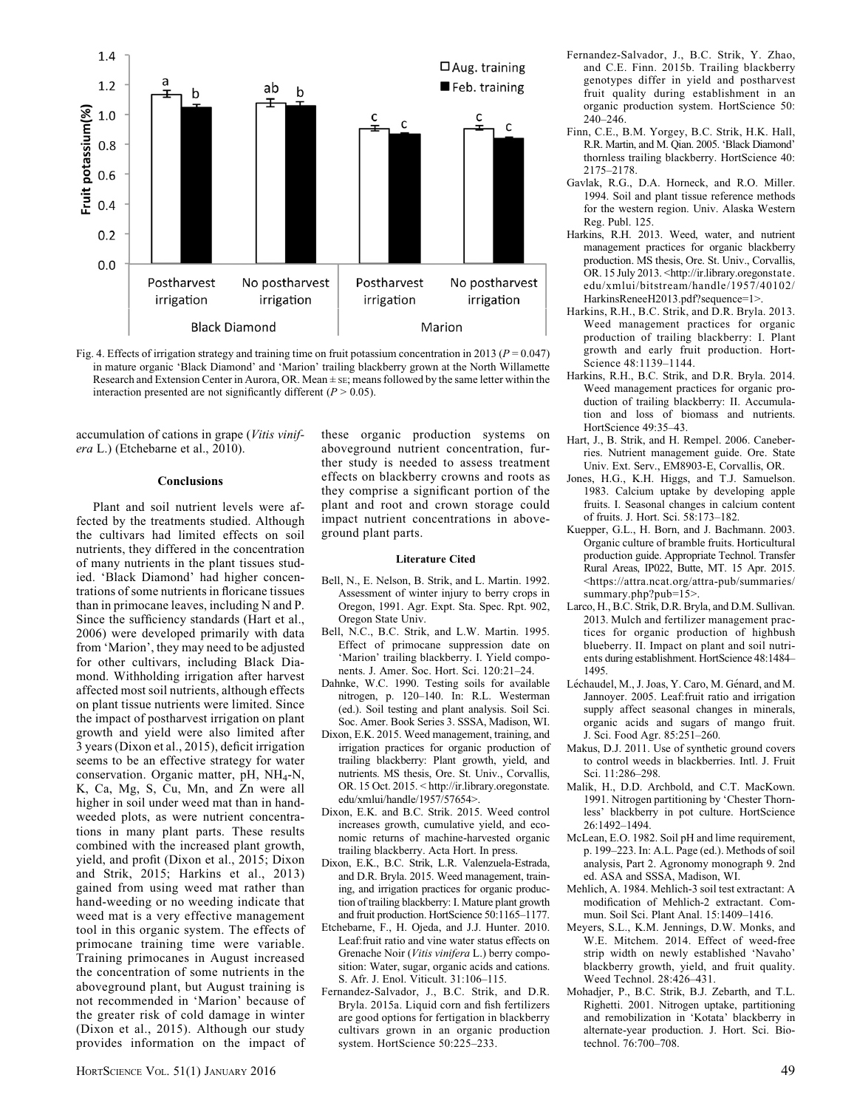

Fig. 4. Effects of irrigation strategy and training time on fruit potassium concentration in 2013 ( $P = 0.047$ ) in mature organic 'Black Diamond' and 'Marion' trailing blackberry grown at the North Willamette Research and Extension Center in Aurora, OR. Mean ± SE; means followed by the same letter within the interaction presented are not significantly different  $(P > 0.05)$ .

accumulation of cations in grape (Vitis vinifera L.) (Etchebarne et al., 2010).

#### Conclusions

Plant and soil nutrient levels were affected by the treatments studied. Although the cultivars had limited effects on soil nutrients, they differed in the concentration of many nutrients in the plant tissues studied. 'Black Diamond' had higher concentrations of some nutrients in floricane tissues than in primocane leaves, including N and P. Since the sufficiency standards (Hart et al., 2006) were developed primarily with data from 'Marion', they may need to be adjusted for other cultivars, including Black Diamond. Withholding irrigation after harvest affected most soil nutrients, although effects on plant tissue nutrients were limited. Since the impact of postharvest irrigation on plant growth and yield were also limited after 3 years (Dixon et al., 2015), deficit irrigation seems to be an effective strategy for water conservation. Organic matter, pH, NH4-N, K, Ca, Mg, S, Cu, Mn, and Zn were all higher in soil under weed mat than in handweeded plots, as were nutrient concentrations in many plant parts. These results combined with the increased plant growth, yield, and profit (Dixon et al., 2015; Dixon and Strik, 2015; Harkins et al., 2013) gained from using weed mat rather than hand-weeding or no weeding indicate that weed mat is a very effective management tool in this organic system. The effects of primocane training time were variable. Training primocanes in August increased the concentration of some nutrients in the aboveground plant, but August training is not recommended in 'Marion' because of the greater risk of cold damage in winter (Dixon et al., 2015). Although our study provides information on the impact of

these organic production systems on aboveground nutrient concentration, further study is needed to assess treatment effects on blackberry crowns and roots as they comprise a significant portion of the plant and root and crown storage could impact nutrient concentrations in aboveground plant parts.

#### Literature Cited

- Bell, N., E. Nelson, B. Strik, and L. Martin. 1992. Assessment of winter injury to berry crops in Oregon, 1991. Agr. Expt. Sta. Spec. Rpt. 902, Oregon State Univ.
- Bell, N.C., B.C. Strik, and L.W. Martin. 1995. Effect of primocane suppression date on 'Marion' trailing blackberry. I. Yield components. J. Amer. Soc. Hort. Sci. 120:21–24.
- Dahnke, W.C. 1990. Testing soils for available nitrogen, p. 120–140. In: R.L. Westerman (ed.). Soil testing and plant analysis. Soil Sci. Soc. Amer. Book Series 3. SSSA, Madison, WI.
- Dixon, E.K. 2015. Weed management, training, and irrigation practices for organic production of trailing blackberry: Plant growth, yield, and nutrients. MS thesis, Ore. St. Univ., Corvallis, OR. 15 Oct. 2015. < http://ir.library.oregonstate. edu/xmlui/handle/1957/57654>.
- Dixon, E.K. and B.C. Strik. 2015. Weed control increases growth, cumulative yield, and economic returns of machine-harvested organic trailing blackberry. Acta Hort. In press.
- Dixon, E.K., B.C. Strik, L.R. Valenzuela-Estrada, and D.R. Bryla. 2015. Weed management, training, and irrigation practices for organic production of trailing blackberry: I. Mature plant growth and fruit production. HortScience 50:1165–1177.
- Etchebarne, F., H. Ojeda, and J.J. Hunter. 2010. Leaf:fruit ratio and vine water status effects on Grenache Noir (Vitis vinifera L.) berry composition: Water, sugar, organic acids and cations. S. Afr. J. Enol. Viticult. 31:106–115.
- Fernandez-Salvador, J., B.C. Strik, and D.R. Bryla. 2015a. Liquid corn and fish fertilizers are good options for fertigation in blackberry cultivars grown in an organic production system. HortScience 50:225–233.
- Fernandez-Salvador, J., B.C. Strik, Y. Zhao, and C.E. Finn. 2015b. Trailing blackberry genotypes differ in yield and postharvest fruit quality during establishment in an organic production system. HortScience 50: 240–246.
- Finn, C.E., B.M. Yorgey, B.C. Strik, H.K. Hall, R.R. Martin, and M. Qian. 2005. 'Black Diamond' thornless trailing blackberry. HortScience 40: 2175–2178.
- Gavlak, R.G., D.A. Horneck, and R.O. Miller. 1994. Soil and plant tissue reference methods for the western region. Univ. Alaska Western Reg. Publ. 125.
- Harkins, R.H. 2013. Weed, water, and nutrient management practices for organic blackberry production. MS thesis, Ore. St. Univ., Corvallis, OR. 15 July 2013. <http://ir.library.oregonstate. edu/xmlui/bitstream/handle/1957/40102/ HarkinsReneeH2013.pdf?sequence=1>.
- Harkins, R.H., B.C. Strik, and D.R. Bryla. 2013. Weed management practices for organic production of trailing blackberry: I. Plant growth and early fruit production. Hort-Science 48:1139–1144.
- Harkins, R.H., B.C. Strik, and D.R. Bryla. 2014. Weed management practices for organic production of trailing blackberry: II. Accumulation and loss of biomass and nutrients. HortScience 49:35–43.
- Hart, J., B. Strik, and H. Rempel. 2006. Caneberries. Nutrient management guide. Ore. State Univ. Ext. Serv., EM8903-E, Corvallis, OR.
- Jones, H.G., K.H. Higgs, and T.J. Samuelson. 1983. Calcium uptake by developing apple fruits. I. Seasonal changes in calcium content of fruits. J. Hort. Sci. 58:173–182.
- Kuepper, G.L., H. Born, and J. Bachmann. 2003. Organic culture of bramble fruits. Horticultural production guide. Appropriate Technol. Transfer Rural Areas, IP022, Butte, MT. 15 Apr. 2015. <https://attra.ncat.org/attra-pub/summaries/ summary.php?pub=15>.
- Larco, H., B.C. Strik, D.R. Bryla, and D.M. Sullivan. 2013. Mulch and fertilizer management practices for organic production of highbush blueberry. II. Impact on plant and soil nutrients during establishment. HortScience 48:1484– 1495.
- Léchaudel, M., J. Joas, Y. Caro, M. Génard, and M. Jannoyer. 2005. Leaf:fruit ratio and irrigation supply affect seasonal changes in minerals, organic acids and sugars of mango fruit. J. Sci. Food Agr. 85:251–260.
- Makus, D.J. 2011. Use of synthetic ground covers to control weeds in blackberries. Intl. J. Fruit Sci. 11:286–298.
- Malik, H., D.D. Archbold, and C.T. MacKown. 1991. Nitrogen partitioning by 'Chester Thornless' blackberry in pot culture. HortScience 26:1492–1494.
- McLean, E.O. 1982. Soil pH and lime requirement, p. 199–223. In: A.L. Page (ed.). Methods of soil analysis, Part 2. Agronomy monograph 9. 2nd ed. ASA and SSSA, Madison, WI.
- Mehlich, A. 1984. Mehlich-3 soil test extractant: A modification of Mehlich-2 extractant. Commun. Soil Sci. Plant Anal. 15:1409–1416.
- Meyers, S.L., K.M. Jennings, D.W. Monks, and W.E. Mitchem. 2014. Effect of weed-free strip width on newly established 'Navaho' blackberry growth, yield, and fruit quality. Weed Technol. 28:426–431.
- Mohadjer, P., B.C. Strik, B.J. Zebarth, and T.L. Righetti. 2001. Nitrogen uptake, partitioning and remobilization in 'Kotata' blackberry in alternate-year production. J. Hort. Sci. Biotechnol. 76:700–708.